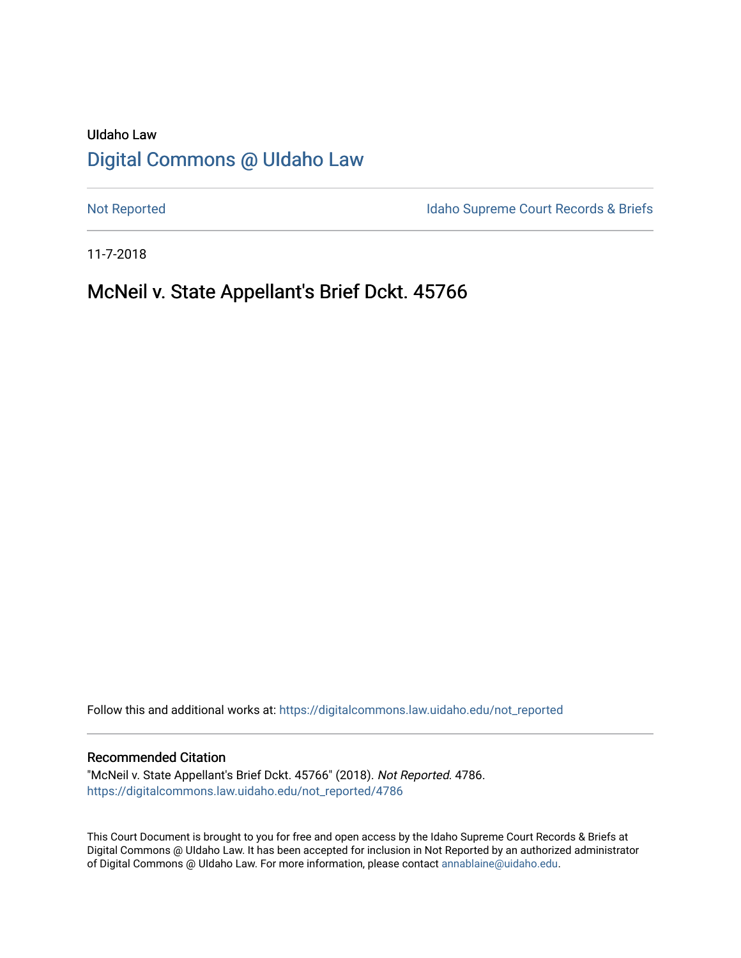# UIdaho Law [Digital Commons @ UIdaho Law](https://digitalcommons.law.uidaho.edu/)

[Not Reported](https://digitalcommons.law.uidaho.edu/not_reported) **Idaho Supreme Court Records & Briefs** 

11-7-2018

# McNeil v. State Appellant's Brief Dckt. 45766

Follow this and additional works at: [https://digitalcommons.law.uidaho.edu/not\\_reported](https://digitalcommons.law.uidaho.edu/not_reported?utm_source=digitalcommons.law.uidaho.edu%2Fnot_reported%2F4786&utm_medium=PDF&utm_campaign=PDFCoverPages) 

#### Recommended Citation

"McNeil v. State Appellant's Brief Dckt. 45766" (2018). Not Reported. 4786. [https://digitalcommons.law.uidaho.edu/not\\_reported/4786](https://digitalcommons.law.uidaho.edu/not_reported/4786?utm_source=digitalcommons.law.uidaho.edu%2Fnot_reported%2F4786&utm_medium=PDF&utm_campaign=PDFCoverPages)

This Court Document is brought to you for free and open access by the Idaho Supreme Court Records & Briefs at Digital Commons @ UIdaho Law. It has been accepted for inclusion in Not Reported by an authorized administrator of Digital Commons @ UIdaho Law. For more information, please contact [annablaine@uidaho.edu](mailto:annablaine@uidaho.edu).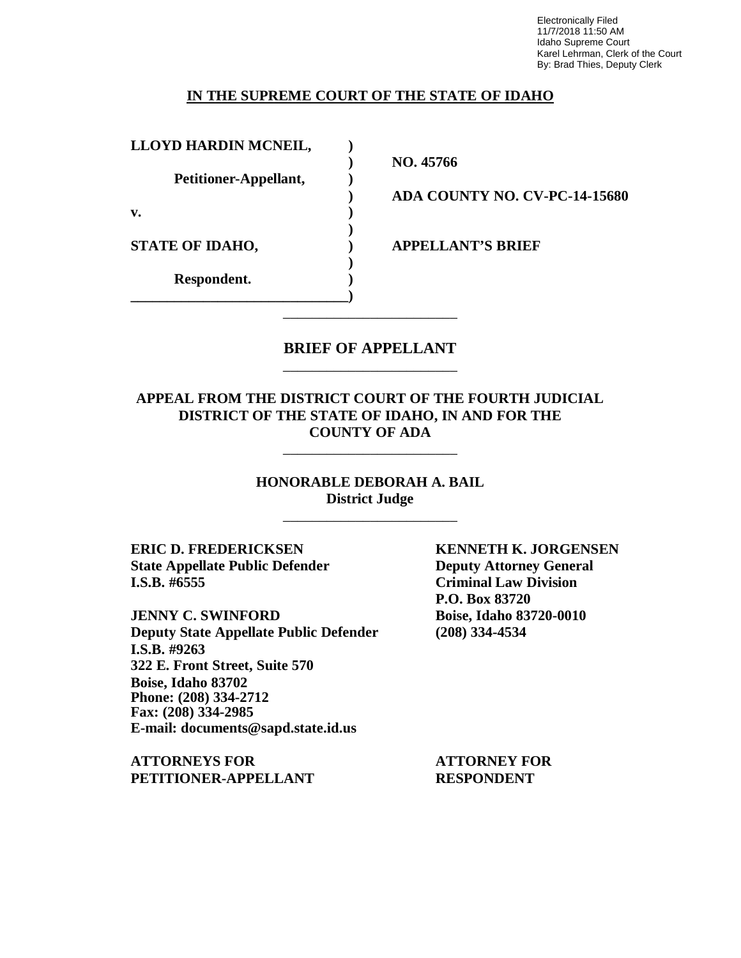Electronically Filed 11/7/2018 11:50 AM Idaho Supreme Court Karel Lehrman, Clerk of the Court By: Brad Thies, Deputy Clerk

#### **IN THE SUPREME COURT OF THE STATE OF IDAHO**

**LLOYD HARDIN MCNEIL, )**

**Petitioner-Appellant, )**

**\_\_\_\_\_\_\_\_\_\_\_\_\_\_\_\_\_\_\_\_\_\_\_\_\_\_\_\_\_\_)**

**v. )**

**Respondent. )**

**) NO. 45766**

**) ADA COUNTY NO. CV-PC-14-15680**

**STATE OF IDAHO, ) APPELLANT'S BRIEF**

## **BRIEF OF APPELLANT** \_\_\_\_\_\_\_\_\_\_\_\_\_\_\_\_\_\_\_\_\_\_\_\_

\_\_\_\_\_\_\_\_\_\_\_\_\_\_\_\_\_\_\_\_\_\_\_\_

**)**

**)**

## **APPEAL FROM THE DISTRICT COURT OF THE FOURTH JUDICIAL DISTRICT OF THE STATE OF IDAHO, IN AND FOR THE COUNTY OF ADA**

\_\_\_\_\_\_\_\_\_\_\_\_\_\_\_\_\_\_\_\_\_\_\_\_

**HONORABLE DEBORAH A. BAIL District Judge**

\_\_\_\_\_\_\_\_\_\_\_\_\_\_\_\_\_\_\_\_\_\_\_\_

**ERIC D. FREDERICKSEN KENNETH K. JORGENSEN State Appellate Public Defender Deputy Attorney General I.S.B. #6555 Criminal Law Division**

**JENNY C. SWINFORD Boise, Idaho 83720-0010 Deputy State Appellate Public Defender (208) 334-4534 I.S.B. #9263 322 E. Front Street, Suite 570 Boise, Idaho 83702 Phone: (208) 334-2712 Fax: (208) 334-2985 E-mail: documents@sapd.state.id.us**

**ATTORNEYS FOR ATTORNEY FOR PETITIONER-APPELLANT RESPONDENT**

**P.O. Box 83720**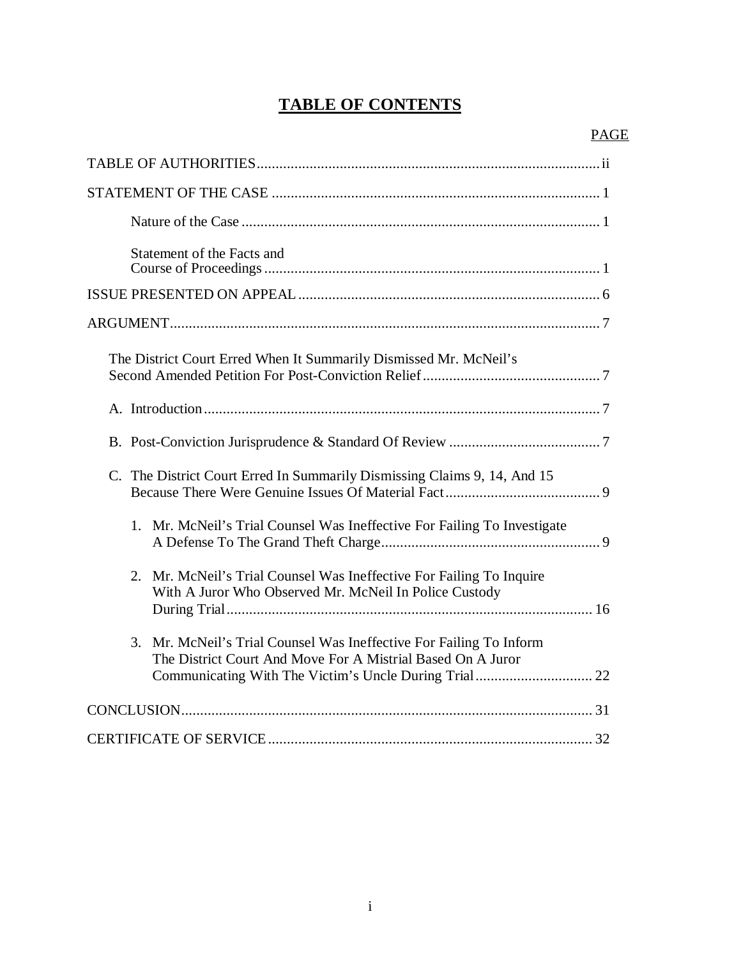# **TABLE OF CONTENTS**

| Statement of the Facts and                                                                                                         |
|------------------------------------------------------------------------------------------------------------------------------------|
|                                                                                                                                    |
|                                                                                                                                    |
| The District Court Erred When It Summarily Dismissed Mr. McNeil's                                                                  |
|                                                                                                                                    |
|                                                                                                                                    |
| C. The District Court Erred In Summarily Dismissing Claims 9, 14, And 15                                                           |
| 1.<br>Mr. McNeil's Trial Counsel Was Ineffective For Failing To Investigate                                                        |
| 2. Mr. McNeil's Trial Counsel Was Ineffective For Failing To Inquire<br>With A Juror Who Observed Mr. McNeil In Police Custody     |
| 3. Mr. McNeil's Trial Counsel Was Ineffective For Failing To Inform<br>The District Court And Move For A Mistrial Based On A Juror |
|                                                                                                                                    |
|                                                                                                                                    |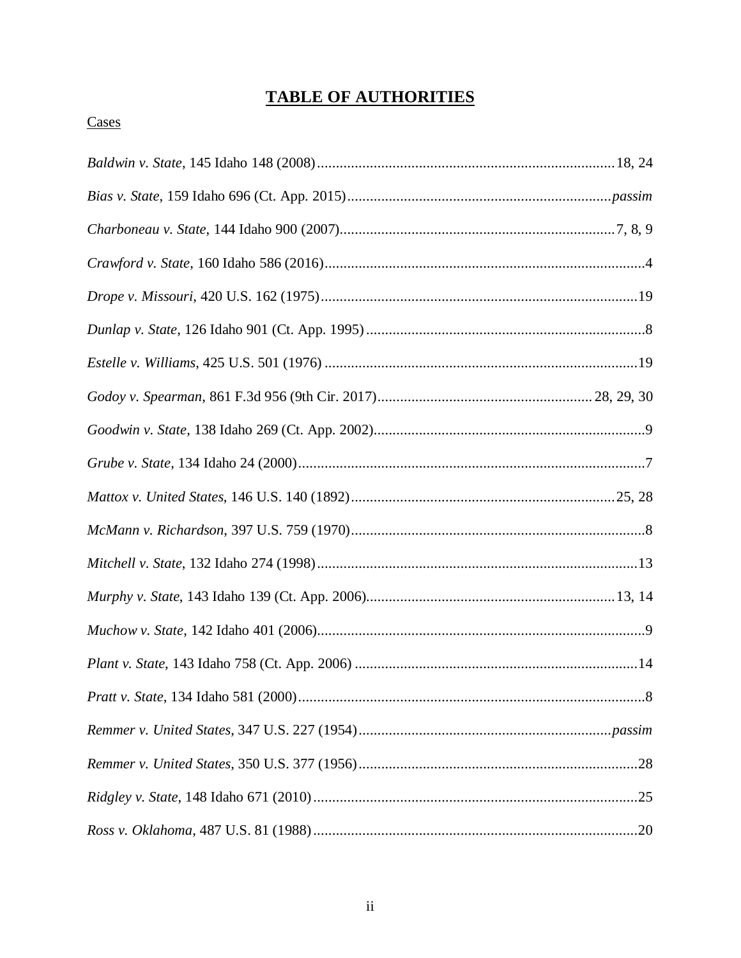# **TABLE OF AUTHORITIES**

# Cases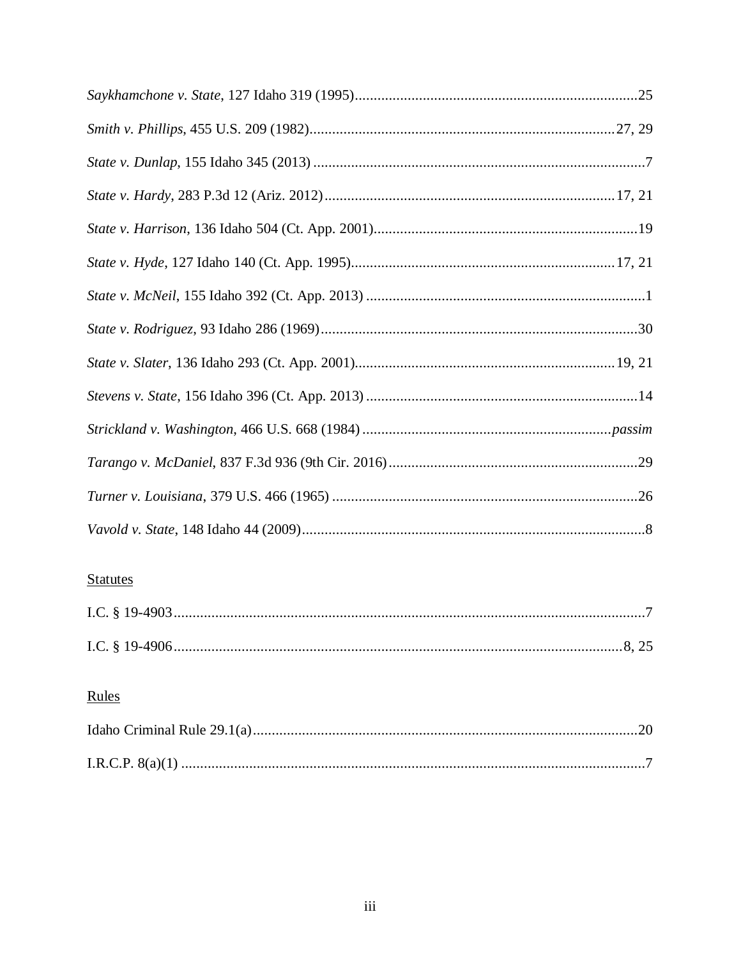| <b>Statutes</b> |
|-----------------|

# Rules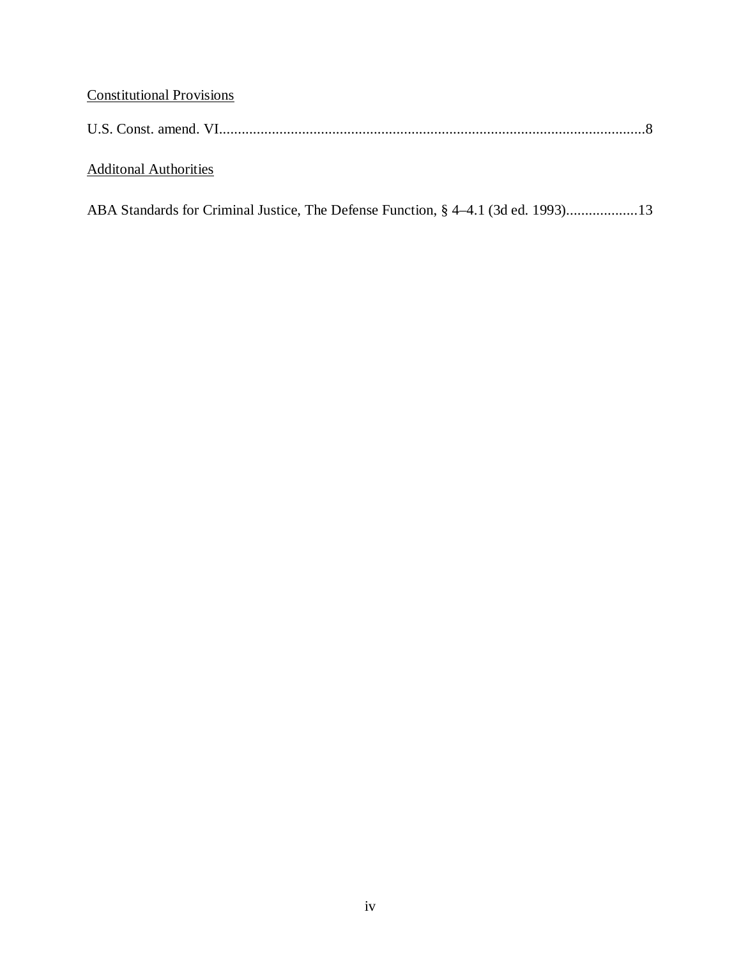# Constitutional Provisions

| U.S. Const. amend. VI. |  |  |
|------------------------|--|--|
|------------------------|--|--|

# Additonal Authorities

| ABA Standards for Criminal Justice, The Defense Function, § 4–4.1 (3d ed. 1993)13 |
|-----------------------------------------------------------------------------------|
|-----------------------------------------------------------------------------------|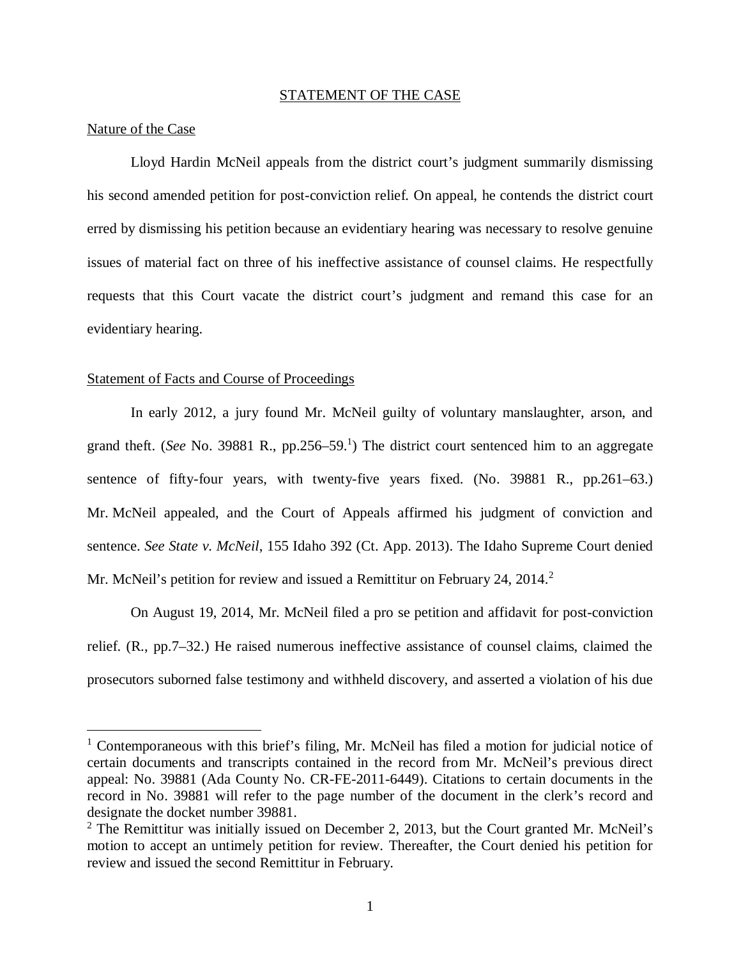#### STATEMENT OF THE CASE

#### Nature of the Case

Lloyd Hardin McNeil appeals from the district court's judgment summarily dismissing his second amended petition for post-conviction relief. On appeal, he contends the district court erred by dismissing his petition because an evidentiary hearing was necessary to resolve genuine issues of material fact on three of his ineffective assistance of counsel claims. He respectfully requests that this Court vacate the district court's judgment and remand this case for an evidentiary hearing.

#### Statement of Facts and Course of Proceedings

In early 2012, a jury found Mr. McNeil guilty of voluntary manslaughter, arson, and grand theft. (*See* No. 3988[1](#page-6-0) R., pp.256–59.<sup>1</sup>) The district court sentenced him to an aggregate sentence of fifty-four years, with twenty-five years fixed. (No. 39881 R., pp.261–63.) Mr. McNeil appealed, and the Court of Appeals affirmed his judgment of conviction and sentence. *See State v. McNeil*, 155 Idaho 392 (Ct. App. 2013). The Idaho Supreme Court denied Mr. McNeil's petition for review and issued a Remittitur on February [2](#page-6-1)4, 2014.<sup>2</sup>

On August 19, 2014, Mr. McNeil filed a pro se petition and affidavit for post-conviction relief. (R., pp.7–32.) He raised numerous ineffective assistance of counsel claims, claimed the prosecutors suborned false testimony and withheld discovery, and asserted a violation of his due

<span id="page-6-0"></span><sup>&</sup>lt;sup>1</sup> Contemporaneous with this brief's filing, Mr. McNeil has filed a motion for judicial notice of certain documents and transcripts contained in the record from Mr. McNeil's previous direct appeal: No. 39881 (Ada County No. CR-FE-2011-6449). Citations to certain documents in the record in No. 39881 will refer to the page number of the document in the clerk's record and designate the docket number 39881.

<span id="page-6-1"></span><sup>&</sup>lt;sup>2</sup> The Remittitur was initially issued on December 2, 2013, but the Court granted Mr. McNeil's motion to accept an untimely petition for review. Thereafter, the Court denied his petition for review and issued the second Remittitur in February.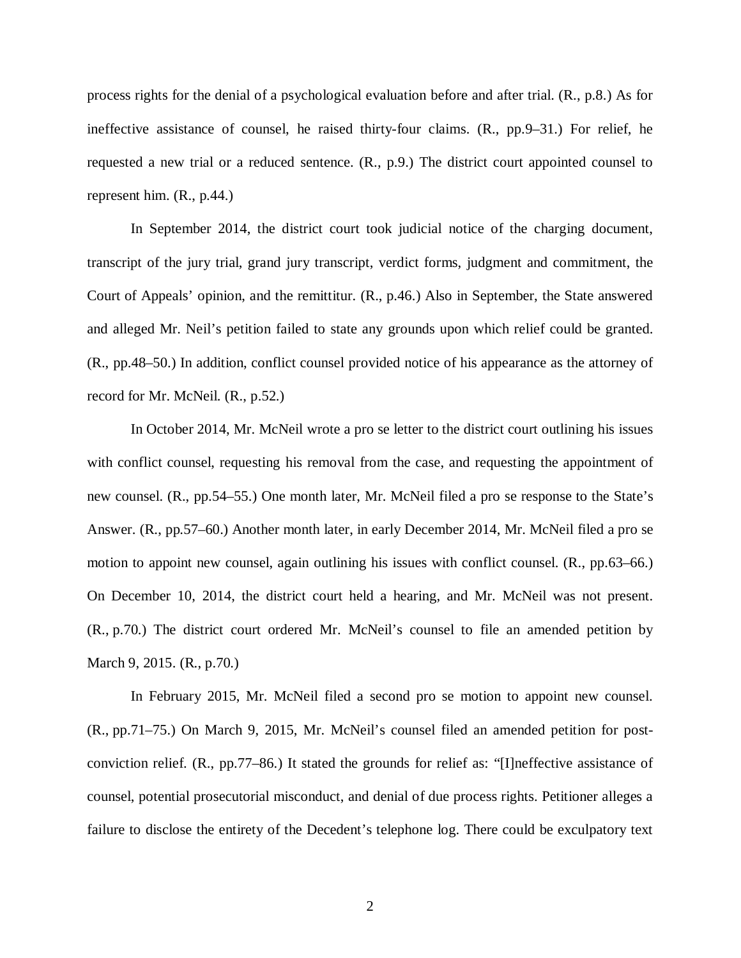process rights for the denial of a psychological evaluation before and after trial. (R., p.8.) As for ineffective assistance of counsel, he raised thirty-four claims. (R., pp.9–31.) For relief, he requested a new trial or a reduced sentence. (R., p.9.) The district court appointed counsel to represent him. (R., p.44.)

In September 2014, the district court took judicial notice of the charging document, transcript of the jury trial, grand jury transcript, verdict forms, judgment and commitment, the Court of Appeals' opinion, and the remittitur. (R., p.46.) Also in September, the State answered and alleged Mr. Neil's petition failed to state any grounds upon which relief could be granted. (R., pp.48–50.) In addition, conflict counsel provided notice of his appearance as the attorney of record for Mr. McNeil. (R., p.52.)

In October 2014, Mr. McNeil wrote a pro se letter to the district court outlining his issues with conflict counsel, requesting his removal from the case, and requesting the appointment of new counsel. (R., pp.54–55.) One month later, Mr. McNeil filed a pro se response to the State's Answer. (R., pp.57–60.) Another month later, in early December 2014, Mr. McNeil filed a pro se motion to appoint new counsel, again outlining his issues with conflict counsel. (R., pp.63–66.) On December 10, 2014, the district court held a hearing, and Mr. McNeil was not present. (R., p.70.) The district court ordered Mr. McNeil's counsel to file an amended petition by March 9, 2015. (R., p.70.)

In February 2015, Mr. McNeil filed a second pro se motion to appoint new counsel. (R., pp.71–75.) On March 9, 2015, Mr. McNeil's counsel filed an amended petition for postconviction relief. (R., pp.77–86.) It stated the grounds for relief as: "[I]neffective assistance of counsel, potential prosecutorial misconduct, and denial of due process rights. Petitioner alleges a failure to disclose the entirety of the Decedent's telephone log. There could be exculpatory text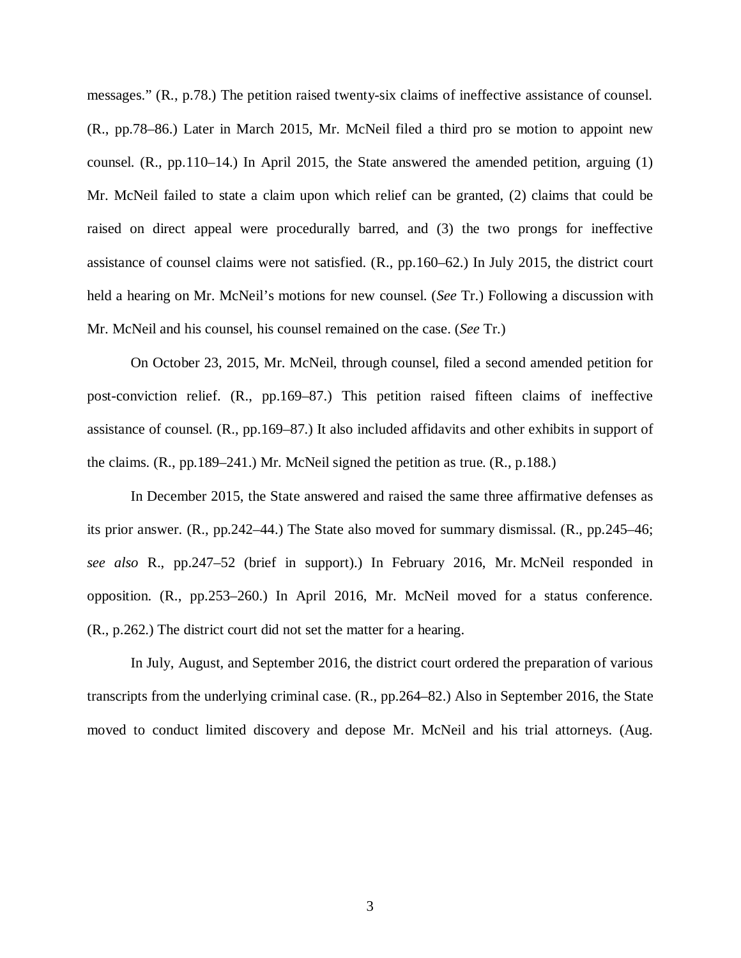messages." (R., p.78.) The petition raised twenty-six claims of ineffective assistance of counsel. (R., pp.78–86.) Later in March 2015, Mr. McNeil filed a third pro se motion to appoint new counsel.  $(R., pp.110-14.)$  In April 2015, the State answered the amended petition, arguing  $(1)$ Mr. McNeil failed to state a claim upon which relief can be granted, (2) claims that could be raised on direct appeal were procedurally barred, and (3) the two prongs for ineffective assistance of counsel claims were not satisfied. (R., pp.160–62.) In July 2015, the district court held a hearing on Mr. McNeil's motions for new counsel. (*See* Tr.) Following a discussion with Mr. McNeil and his counsel, his counsel remained on the case. (*See* Tr.)

On October 23, 2015, Mr. McNeil, through counsel, filed a second amended petition for post-conviction relief. (R., pp.169–87.) This petition raised fifteen claims of ineffective assistance of counsel. (R., pp.169–87.) It also included affidavits and other exhibits in support of the claims. (R., pp.189–241.) Mr. McNeil signed the petition as true. (R., p.188.)

In December 2015, the State answered and raised the same three affirmative defenses as its prior answer. (R., pp.242–44.) The State also moved for summary dismissal. (R., pp.245–46; *see also* R., pp.247–52 (brief in support).) In February 2016, Mr. McNeil responded in opposition. (R., pp.253–260.) In April 2016, Mr. McNeil moved for a status conference. (R., p.262.) The district court did not set the matter for a hearing.

In July, August, and September 2016, the district court ordered the preparation of various transcripts from the underlying criminal case. (R., pp.264–82.) Also in September 2016, the State moved to conduct limited discovery and depose Mr. McNeil and his trial attorneys. (Aug.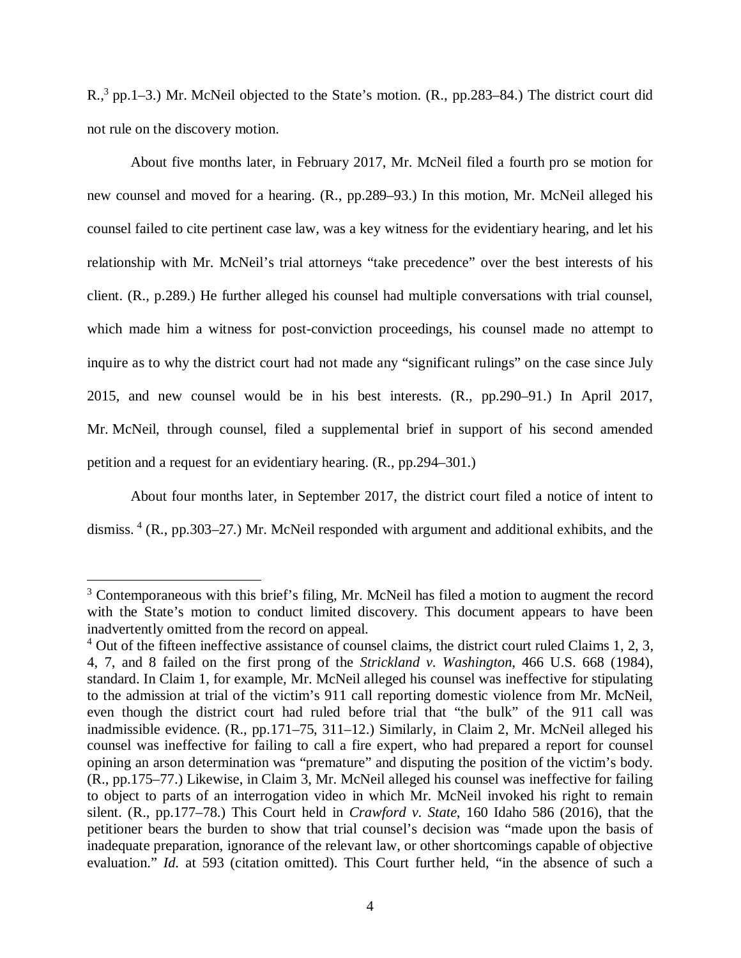R.,<sup>[3](#page-9-0)</sup> pp.1–3.) Mr. McNeil objected to the State's motion. (R., pp.283–84.) The district court did not rule on the discovery motion.

About five months later, in February 2017, Mr. McNeil filed a fourth pro se motion for new counsel and moved for a hearing. (R., pp.289–93.) In this motion, Mr. McNeil alleged his counsel failed to cite pertinent case law, was a key witness for the evidentiary hearing, and let his relationship with Mr. McNeil's trial attorneys "take precedence" over the best interests of his client. (R., p.289.) He further alleged his counsel had multiple conversations with trial counsel, which made him a witness for post-conviction proceedings, his counsel made no attempt to inquire as to why the district court had not made any "significant rulings" on the case since July 2015, and new counsel would be in his best interests. (R., pp.290–91.) In April 2017, Mr. McNeil, through counsel, filed a supplemental brief in support of his second amended petition and a request for an evidentiary hearing. (R., pp.294–301.)

About four months later, in September 2017, the district court filed a notice of intent to dismiss.<sup>[4](#page-9-1)</sup> (R., pp.303–27.) Mr. McNeil responded with argument and additional exhibits, and the

<span id="page-9-0"></span> $3$  Contemporaneous with this brief's filing, Mr. McNeil has filed a motion to augment the record with the State's motion to conduct limited discovery. This document appears to have been inadvertently omitted from the record on appeal.

<span id="page-9-1"></span> $4$  Out of the fifteen ineffective assistance of counsel claims, the district court ruled Claims 1, 2, 3, 4, 7, and 8 failed on the first prong of the *Strickland v. Washington*, 466 U.S. 668 (1984), standard. In Claim 1, for example, Mr. McNeil alleged his counsel was ineffective for stipulating to the admission at trial of the victim's 911 call reporting domestic violence from Mr. McNeil, even though the district court had ruled before trial that "the bulk" of the 911 call was inadmissible evidence. (R., pp.171–75, 311–12.) Similarly, in Claim 2, Mr. McNeil alleged his counsel was ineffective for failing to call a fire expert, who had prepared a report for counsel opining an arson determination was "premature" and disputing the position of the victim's body. (R., pp.175–77.) Likewise, in Claim 3, Mr. McNeil alleged his counsel was ineffective for failing to object to parts of an interrogation video in which Mr. McNeil invoked his right to remain silent. (R., pp.177–78.) This Court held in *Crawford v. State*, 160 Idaho 586 (2016), that the petitioner bears the burden to show that trial counsel's decision was "made upon the basis of inadequate preparation, ignorance of the relevant law, or other shortcomings capable of objective evaluation." *Id.* at 593 (citation omitted). This Court further held, "in the absence of such a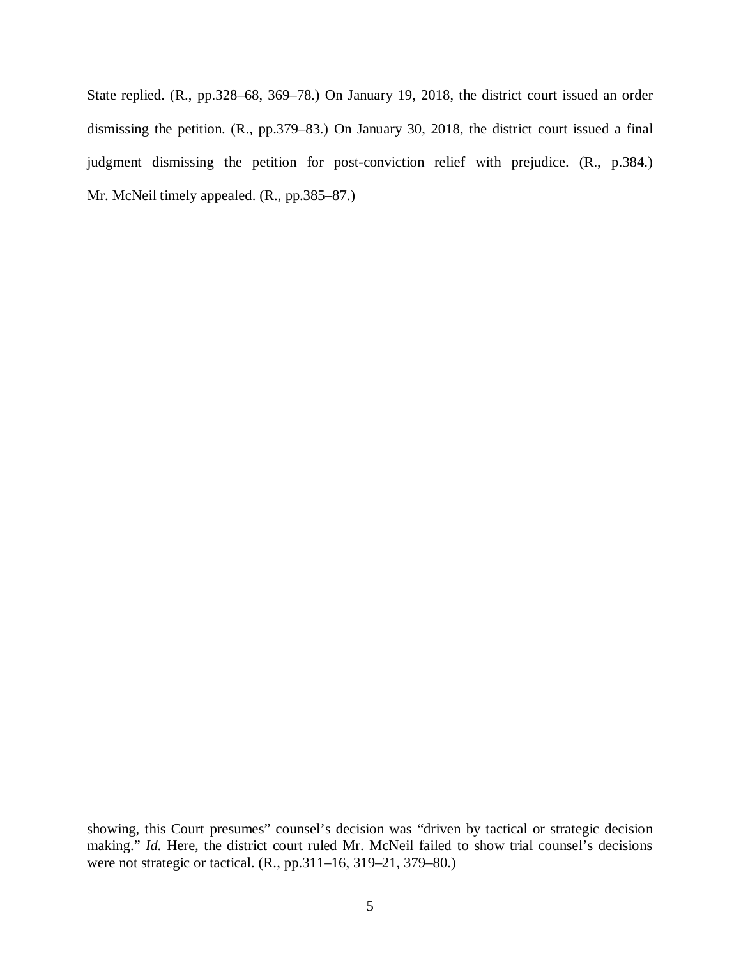State replied. (R., pp.328–68, 369–78.) On January 19, 2018, the district court issued an order dismissing the petition. (R., pp.379–83.) On January 30, 2018, the district court issued a final judgment dismissing the petition for post-conviction relief with prejudice. (R., p.384.) Mr. McNeil timely appealed. (R., pp.385–87.)

showing, this Court presumes" counsel's decision was "driven by tactical or strategic decision making." *Id.* Here, the district court ruled Mr. McNeil failed to show trial counsel's decisions were not strategic or tactical. (R., pp.311–16, 319–21, 379–80.)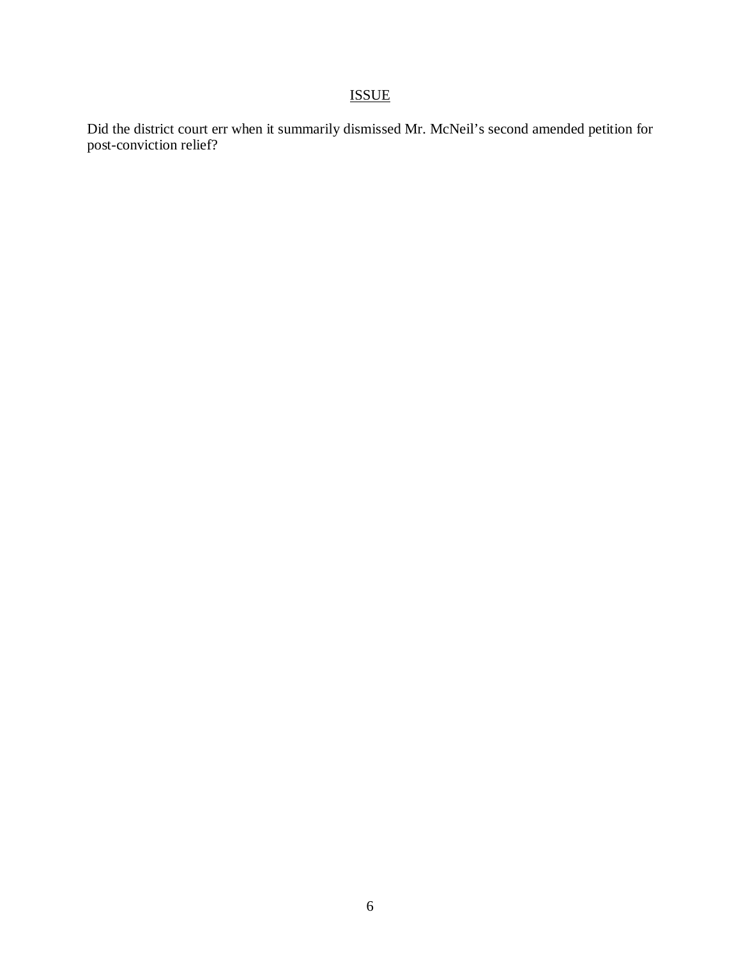# ISSUE

Did the district court err when it summarily dismissed Mr. McNeil's second amended petition for post-conviction relief?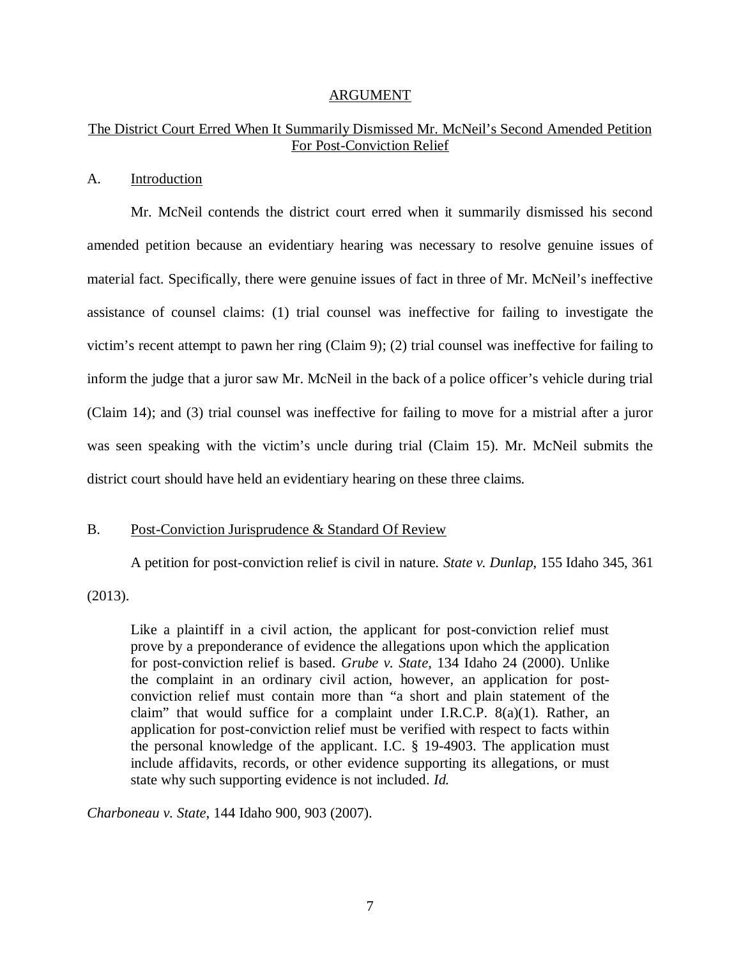#### ARGUMENT

#### The District Court Erred When It Summarily Dismissed Mr. McNeil's Second Amended Petition For Post-Conviction Relief

#### A. Introduction

Mr. McNeil contends the district court erred when it summarily dismissed his second amended petition because an evidentiary hearing was necessary to resolve genuine issues of material fact. Specifically, there were genuine issues of fact in three of Mr. McNeil's ineffective assistance of counsel claims: (1) trial counsel was ineffective for failing to investigate the victim's recent attempt to pawn her ring (Claim 9); (2) trial counsel was ineffective for failing to inform the judge that a juror saw Mr. McNeil in the back of a police officer's vehicle during trial (Claim 14); and (3) trial counsel was ineffective for failing to move for a mistrial after a juror was seen speaking with the victim's uncle during trial (Claim 15). Mr. McNeil submits the district court should have held an evidentiary hearing on these three claims.

#### B. Post-Conviction Jurisprudence & Standard Of Review

A petition for post-conviction relief is civil in nature. *State v. Dunlap*, 155 Idaho 345, 361

(2013).

Like a plaintiff in a civil action, the applicant for post-conviction relief must prove by a preponderance of evidence the allegations upon which the application for post-conviction relief is based. *Grube v. State*, 134 Idaho 24 (2000). Unlike the complaint in an ordinary civil action, however, an application for postconviction relief must contain more than "a short and plain statement of the claim" that would suffice for a complaint under I.R.C.P. 8(a)(1). Rather, an application for post-conviction relief must be verified with respect to facts within the personal knowledge of the applicant. I.C. § 19-4903. The application must include affidavits, records, or other evidence supporting its allegations, or must state why such supporting evidence is not included. *Id.*

*Charboneau v. State*, 144 Idaho 900, 903 (2007).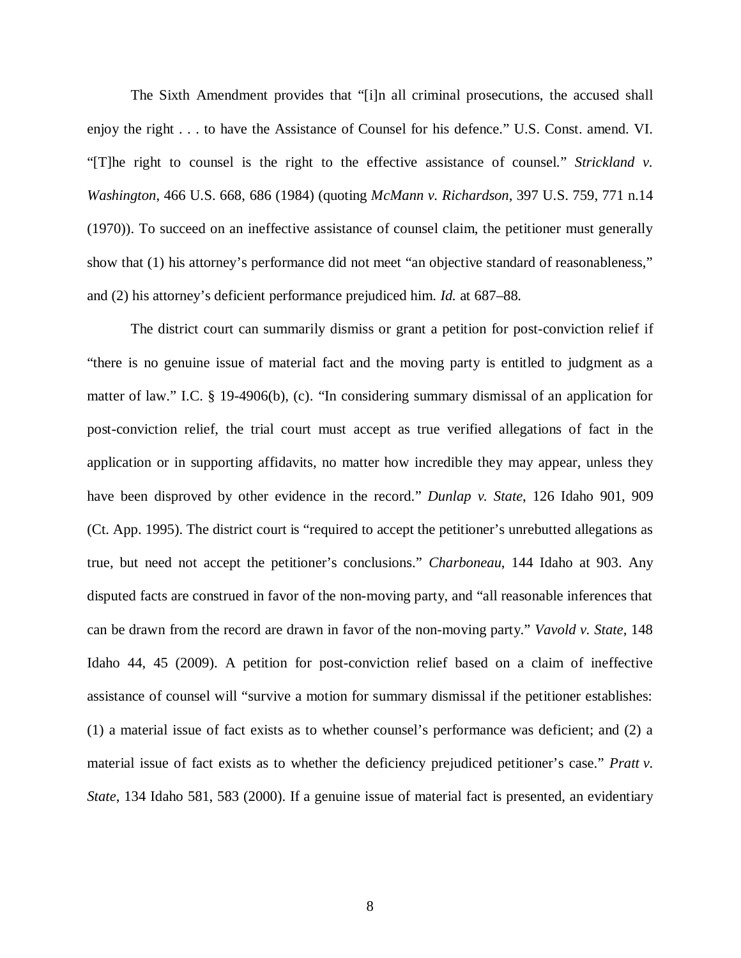The Sixth Amendment provides that "[i]n all criminal prosecutions, the accused shall enjoy the right . . . to have the Assistance of Counsel for his defence." U.S. Const. amend. VI. "[T]he right to counsel is the right to the effective assistance of counsel." *Strickland v. Washington*, 466 U.S. 668, 686 (1984) (quoting *McMann v. Richardson*, 397 U.S. 759, 771 n.14 (1970)). To succeed on an ineffective assistance of counsel claim, the petitioner must generally show that (1) his attorney's performance did not meet "an objective standard of reasonableness," and (2) his attorney's deficient performance prejudiced him. *Id.* at 687–88.

The district court can summarily dismiss or grant a petition for post-conviction relief if "there is no genuine issue of material fact and the moving party is entitled to judgment as a matter of law." I.C. § 19-4906(b), (c). "In considering summary dismissal of an application for post-conviction relief, the trial court must accept as true verified allegations of fact in the application or in supporting affidavits, no matter how incredible they may appear, unless they have been disproved by other evidence in the record." *Dunlap v. State*, 126 Idaho 901, 909 (Ct. App. 1995). The district court is "required to accept the petitioner's unrebutted allegations as true, but need not accept the petitioner's conclusions." *Charboneau*, 144 Idaho at 903. Any disputed facts are construed in favor of the non-moving party, and "all reasonable inferences that can be drawn from the record are drawn in favor of the non-moving party." *Vavold v. State*, 148 Idaho 44, 45 (2009). A petition for post-conviction relief based on a claim of ineffective assistance of counsel will "survive a motion for summary dismissal if the petitioner establishes: (1) a material issue of fact exists as to whether counsel's performance was deficient; and (2) a material issue of fact exists as to whether the deficiency prejudiced petitioner's case." *Pratt v. State*, 134 Idaho 581, 583 (2000). If a genuine issue of material fact is presented, an evidentiary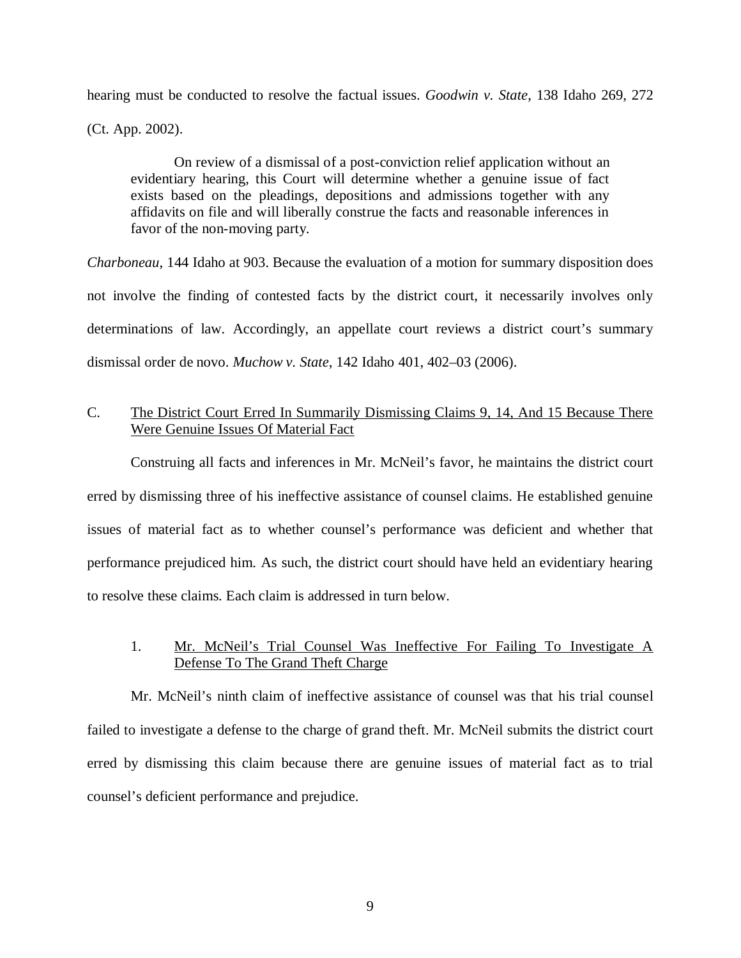hearing must be conducted to resolve the factual issues. *Goodwin v. State*, 138 Idaho 269, 272

(Ct. App. 2002).

On review of a dismissal of a post-conviction relief application without an evidentiary hearing, this Court will determine whether a genuine issue of fact exists based on the pleadings, depositions and admissions together with any affidavits on file and will liberally construe the facts and reasonable inferences in favor of the non-moving party.

*Charboneau*, 144 Idaho at 903. Because the evaluation of a motion for summary disposition does not involve the finding of contested facts by the district court, it necessarily involves only determinations of law. Accordingly, an appellate court reviews a district court's summary dismissal order de novo. *Muchow v. State*, 142 Idaho 401, 402–03 (2006).

## C. The District Court Erred In Summarily Dismissing Claims 9, 14, And 15 Because There Were Genuine Issues Of Material Fact

Construing all facts and inferences in Mr. McNeil's favor, he maintains the district court erred by dismissing three of his ineffective assistance of counsel claims. He established genuine issues of material fact as to whether counsel's performance was deficient and whether that performance prejudiced him. As such, the district court should have held an evidentiary hearing to resolve these claims. Each claim is addressed in turn below.

## 1. Mr. McNeil's Trial Counsel Was Ineffective For Failing To Investigate A Defense To The Grand Theft Charge

Mr. McNeil's ninth claim of ineffective assistance of counsel was that his trial counsel failed to investigate a defense to the charge of grand theft. Mr. McNeil submits the district court erred by dismissing this claim because there are genuine issues of material fact as to trial counsel's deficient performance and prejudice.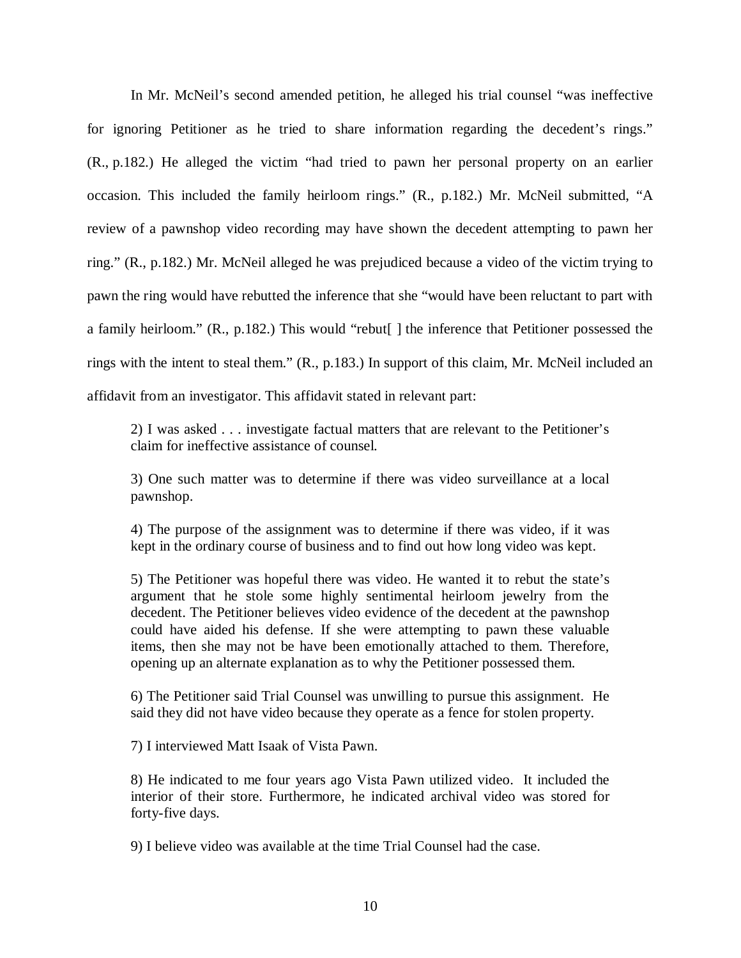In Mr. McNeil's second amended petition, he alleged his trial counsel "was ineffective for ignoring Petitioner as he tried to share information regarding the decedent's rings." (R., p.182.) He alleged the victim "had tried to pawn her personal property on an earlier occasion. This included the family heirloom rings." (R., p.182.) Mr. McNeil submitted, "A review of a pawnshop video recording may have shown the decedent attempting to pawn her ring." (R., p.182.) Mr. McNeil alleged he was prejudiced because a video of the victim trying to pawn the ring would have rebutted the inference that she "would have been reluctant to part with a family heirloom." (R., p.182.) This would "rebut[ ] the inference that Petitioner possessed the rings with the intent to steal them." (R., p.183.) In support of this claim, Mr. McNeil included an affidavit from an investigator. This affidavit stated in relevant part:

2) I was asked . . . investigate factual matters that are relevant to the Petitioner's claim for ineffective assistance of counsel.

3) One such matter was to determine if there was video surveillance at a local pawnshop.

4) The purpose of the assignment was to determine if there was video, if it was kept in the ordinary course of business and to find out how long video was kept.

5) The Petitioner was hopeful there was video. He wanted it to rebut the state's argument that he stole some highly sentimental heirloom jewelry from the decedent. The Petitioner believes video evidence of the decedent at the pawnshop could have aided his defense. If she were attempting to pawn these valuable items, then she may not be have been emotionally attached to them. Therefore, opening up an alternate explanation as to why the Petitioner possessed them.

6) The Petitioner said Trial Counsel was unwilling to pursue this assignment. He said they did not have video because they operate as a fence for stolen property.

7) I interviewed Matt Isaak of Vista Pawn.

8) He indicated to me four years ago Vista Pawn utilized video. It included the interior of their store. Furthermore, he indicated archival video was stored for forty-five days.

9) I believe video was available at the time Trial Counsel had the case.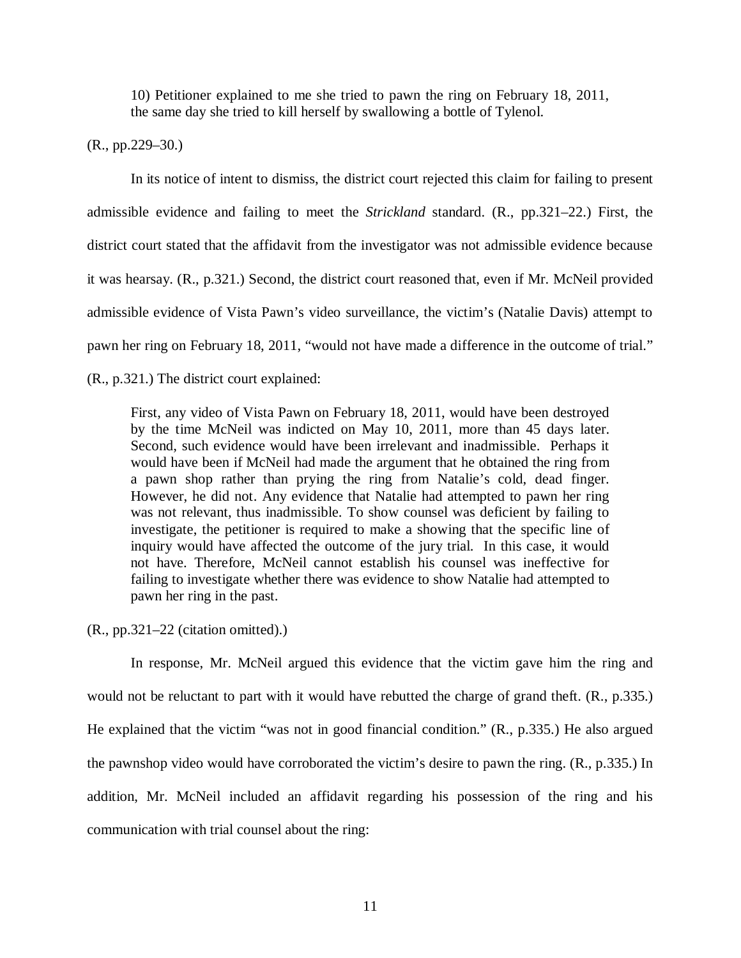10) Petitioner explained to me she tried to pawn the ring on February 18, 2011, the same day she tried to kill herself by swallowing a bottle of Tylenol.

(R., pp.229–30.)

In its notice of intent to dismiss, the district court rejected this claim for failing to present admissible evidence and failing to meet the *Strickland* standard. (R., pp.321–22.) First, the district court stated that the affidavit from the investigator was not admissible evidence because it was hearsay. (R., p.321.) Second, the district court reasoned that, even if Mr. McNeil provided admissible evidence of Vista Pawn's video surveillance, the victim's (Natalie Davis) attempt to pawn her ring on February 18, 2011, "would not have made a difference in the outcome of trial." (R., p.321.) The district court explained:

First, any video of Vista Pawn on February 18, 2011, would have been destroyed by the time McNeil was indicted on May 10, 2011, more than 45 days later. Second, such evidence would have been irrelevant and inadmissible. Perhaps it would have been if McNeil had made the argument that he obtained the ring from a pawn shop rather than prying the ring from Natalie's cold, dead finger. However, he did not. Any evidence that Natalie had attempted to pawn her ring was not relevant, thus inadmissible. To show counsel was deficient by failing to investigate, the petitioner is required to make a showing that the specific line of inquiry would have affected the outcome of the jury trial. In this case, it would not have. Therefore, McNeil cannot establish his counsel was ineffective for failing to investigate whether there was evidence to show Natalie had attempted to pawn her ring in the past.

(R., pp.321–22 (citation omitted).)

In response, Mr. McNeil argued this evidence that the victim gave him the ring and would not be reluctant to part with it would have rebutted the charge of grand theft. (R., p.335.) He explained that the victim "was not in good financial condition." (R., p.335.) He also argued the pawnshop video would have corroborated the victim's desire to pawn the ring. (R., p.335.) In addition, Mr. McNeil included an affidavit regarding his possession of the ring and his communication with trial counsel about the ring: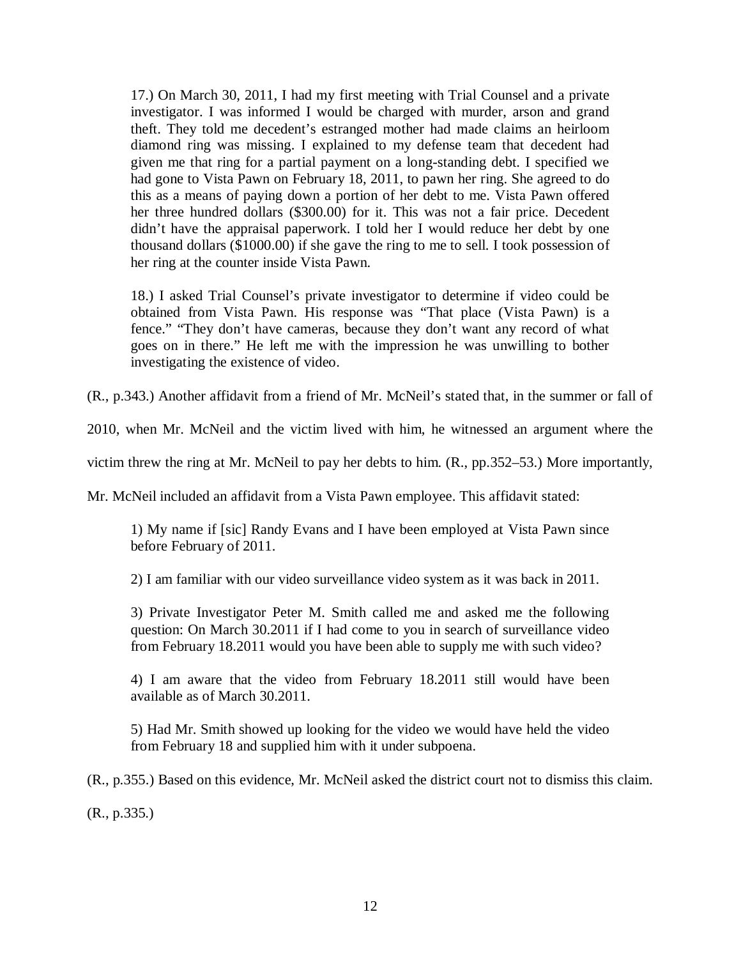17.) On March 30, 2011, I had my first meeting with Trial Counsel and a private investigator. I was informed I would be charged with murder, arson and grand theft. They told me decedent's estranged mother had made claims an heirloom diamond ring was missing. I explained to my defense team that decedent had given me that ring for a partial payment on a long-standing debt. I specified we had gone to Vista Pawn on February 18, 2011, to pawn her ring. She agreed to do this as a means of paying down a portion of her debt to me. Vista Pawn offered her three hundred dollars (\$300.00) for it. This was not a fair price. Decedent didn't have the appraisal paperwork. I told her I would reduce her debt by one thousand dollars (\$1000.00) if she gave the ring to me to sell. I took possession of her ring at the counter inside Vista Pawn.

18.) I asked Trial Counsel's private investigator to determine if video could be obtained from Vista Pawn. His response was "That place (Vista Pawn) is a fence." "They don't have cameras, because they don't want any record of what goes on in there." He left me with the impression he was unwilling to bother investigating the existence of video.

(R., p.343.) Another affidavit from a friend of Mr. McNeil's stated that, in the summer or fall of

2010, when Mr. McNeil and the victim lived with him, he witnessed an argument where the

victim threw the ring at Mr. McNeil to pay her debts to him. (R., pp.352–53.) More importantly,

Mr. McNeil included an affidavit from a Vista Pawn employee. This affidavit stated:

1) My name if [sic] Randy Evans and I have been employed at Vista Pawn since before February of 2011.

2) I am familiar with our video surveillance video system as it was back in 2011.

3) Private Investigator Peter M. Smith called me and asked me the following question: On March 30.2011 if I had come to you in search of surveillance video from February 18.2011 would you have been able to supply me with such video?

4) I am aware that the video from February 18.2011 still would have been available as of March 30.2011.

5) Had Mr. Smith showed up looking for the video we would have held the video from February 18 and supplied him with it under subpoena.

(R., p.355.) Based on this evidence, Mr. McNeil asked the district court not to dismiss this claim.

(R., p.335.)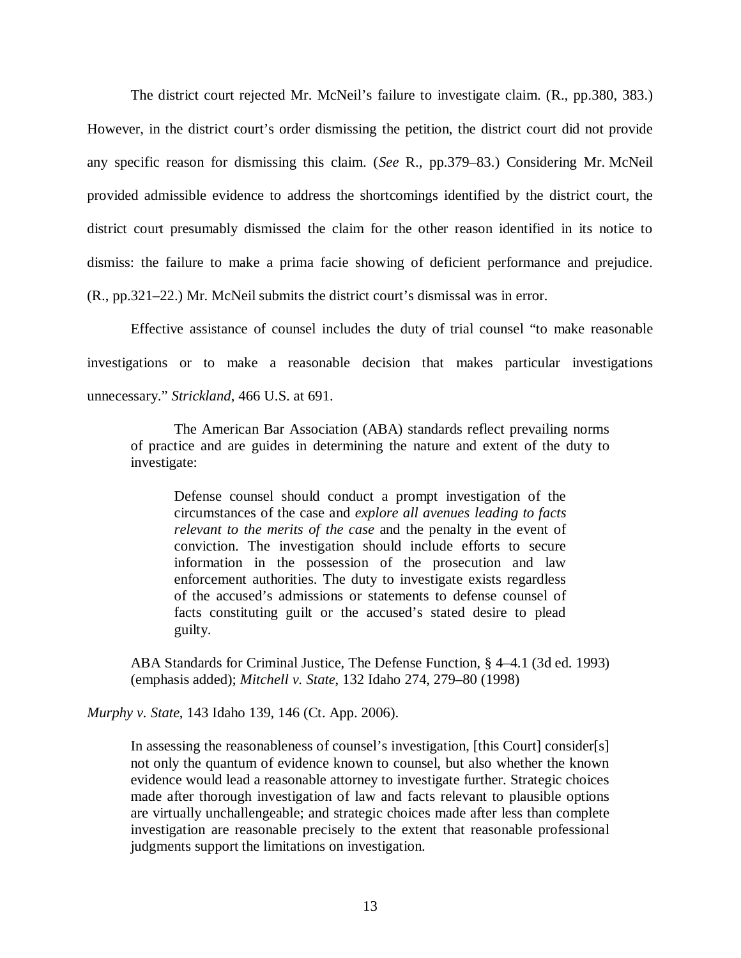The district court rejected Mr. McNeil's failure to investigate claim. (R., pp.380, 383.) However, in the district court's order dismissing the petition, the district court did not provide any specific reason for dismissing this claim. (*See* R., pp.379–83.) Considering Mr. McNeil provided admissible evidence to address the shortcomings identified by the district court, the district court presumably dismissed the claim for the other reason identified in its notice to dismiss: the failure to make a prima facie showing of deficient performance and prejudice. (R., pp.321–22.) Mr. McNeil submits the district court's dismissal was in error.

Effective assistance of counsel includes the duty of trial counsel "to make reasonable investigations or to make a reasonable decision that makes particular investigations unnecessary." *Strickland*, 466 U.S. at 691.

The American Bar Association (ABA) standards reflect prevailing norms of practice and are guides in determining the nature and extent of the duty to investigate:

Defense counsel should conduct a prompt investigation of the circumstances of the case and *explore all avenues leading to facts relevant to the merits of the case* and the penalty in the event of conviction. The investigation should include efforts to secure information in the possession of the prosecution and law enforcement authorities. The duty to investigate exists regardless of the accused's admissions or statements to defense counsel of facts constituting guilt or the accused's stated desire to plead guilty.

ABA Standards for Criminal Justice, The Defense Function, § 4–4.1 (3d ed. 1993) (emphasis added); *Mitchell v. State*, 132 Idaho 274, 279–80 (1998)

*Murphy v. State*, 143 Idaho 139, 146 (Ct. App. 2006).

In assessing the reasonableness of counsel's investigation, [this Court] consider[s] not only the quantum of evidence known to counsel, but also whether the known evidence would lead a reasonable attorney to investigate further. Strategic choices made after thorough investigation of law and facts relevant to plausible options are virtually unchallengeable; and strategic choices made after less than complete investigation are reasonable precisely to the extent that reasonable professional judgments support the limitations on investigation.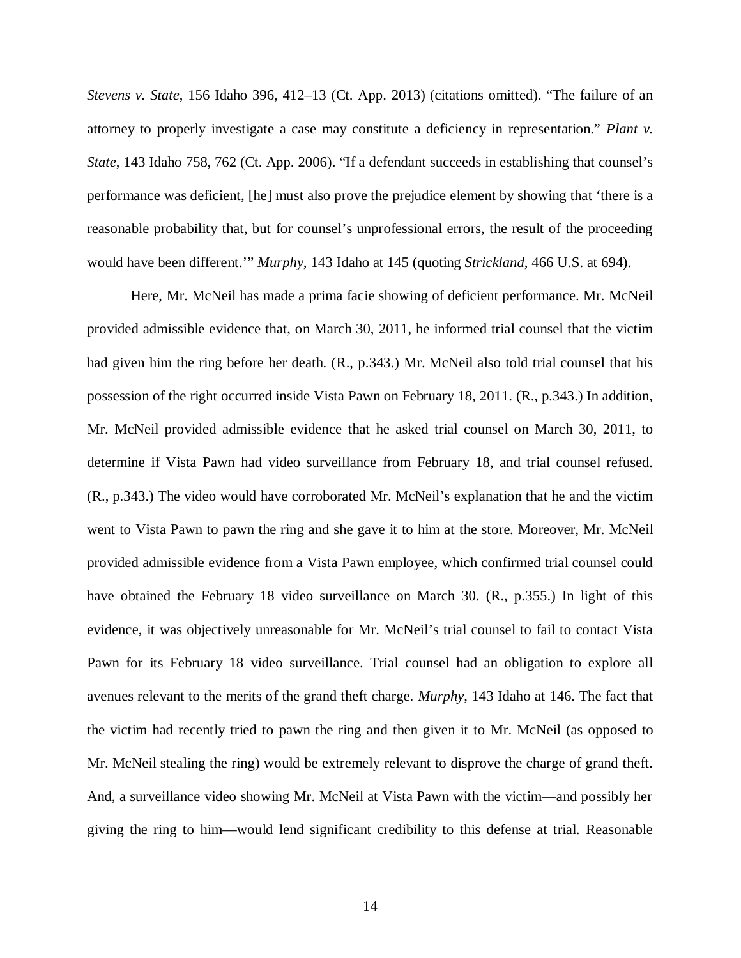*Stevens v. State*, 156 Idaho 396, 412–13 (Ct. App. 2013) (citations omitted). "The failure of an attorney to properly investigate a case may constitute a deficiency in representation." *Plant v. State*, 143 Idaho 758, 762 (Ct. App. 2006). "If a defendant succeeds in establishing that counsel's performance was deficient, [he] must also prove the prejudice element by showing that 'there is a reasonable probability that, but for counsel's unprofessional errors, the result of the proceeding would have been different.'" *Murphy*, 143 Idaho at 145 (quoting *Strickland*, 466 U.S. at 694).

Here, Mr. McNeil has made a prima facie showing of deficient performance. Mr. McNeil provided admissible evidence that, on March 30, 2011, he informed trial counsel that the victim had given him the ring before her death. (R., p.343.) Mr. McNeil also told trial counsel that his possession of the right occurred inside Vista Pawn on February 18, 2011. (R., p.343.) In addition, Mr. McNeil provided admissible evidence that he asked trial counsel on March 30, 2011, to determine if Vista Pawn had video surveillance from February 18, and trial counsel refused. (R., p.343.) The video would have corroborated Mr. McNeil's explanation that he and the victim went to Vista Pawn to pawn the ring and she gave it to him at the store. Moreover, Mr. McNeil provided admissible evidence from a Vista Pawn employee, which confirmed trial counsel could have obtained the February 18 video surveillance on March 30. (R., p.355.) In light of this evidence, it was objectively unreasonable for Mr. McNeil's trial counsel to fail to contact Vista Pawn for its February 18 video surveillance. Trial counsel had an obligation to explore all avenues relevant to the merits of the grand theft charge. *Murphy*, 143 Idaho at 146. The fact that the victim had recently tried to pawn the ring and then given it to Mr. McNeil (as opposed to Mr. McNeil stealing the ring) would be extremely relevant to disprove the charge of grand theft. And, a surveillance video showing Mr. McNeil at Vista Pawn with the victim—and possibly her giving the ring to him—would lend significant credibility to this defense at trial. Reasonable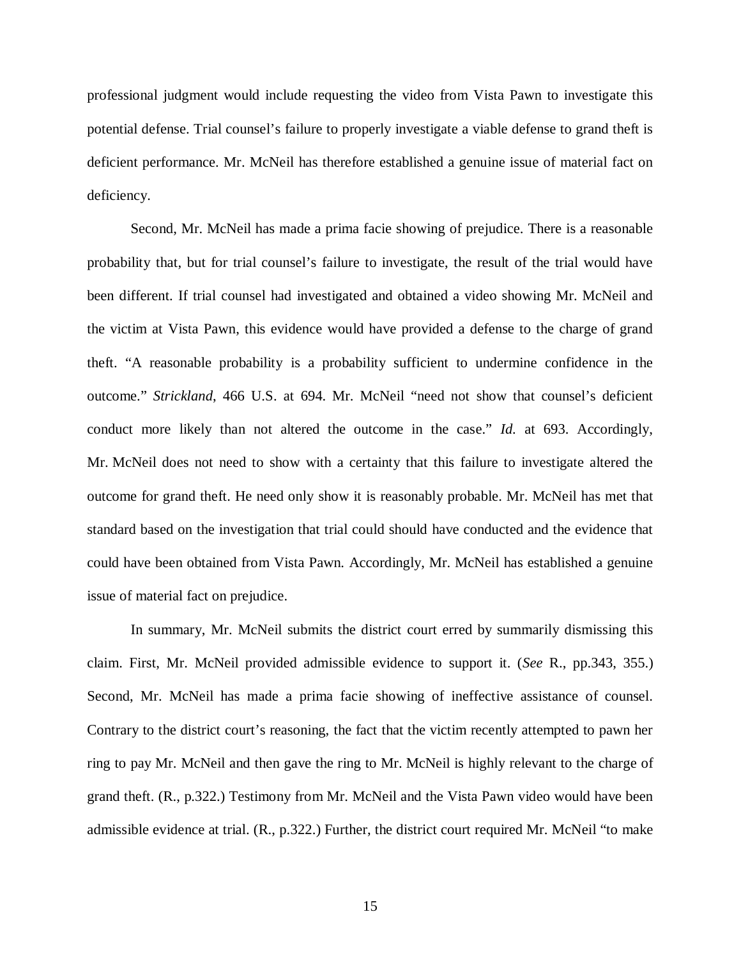professional judgment would include requesting the video from Vista Pawn to investigate this potential defense. Trial counsel's failure to properly investigate a viable defense to grand theft is deficient performance. Mr. McNeil has therefore established a genuine issue of material fact on deficiency.

Second, Mr. McNeil has made a prima facie showing of prejudice. There is a reasonable probability that, but for trial counsel's failure to investigate, the result of the trial would have been different. If trial counsel had investigated and obtained a video showing Mr. McNeil and the victim at Vista Pawn, this evidence would have provided a defense to the charge of grand theft. "A reasonable probability is a probability sufficient to undermine confidence in the outcome." *Strickland*, 466 U.S. at 694. Mr. McNeil "need not show that counsel's deficient conduct more likely than not altered the outcome in the case." *Id.* at 693. Accordingly, Mr. McNeil does not need to show with a certainty that this failure to investigate altered the outcome for grand theft. He need only show it is reasonably probable. Mr. McNeil has met that standard based on the investigation that trial could should have conducted and the evidence that could have been obtained from Vista Pawn. Accordingly, Mr. McNeil has established a genuine issue of material fact on prejudice.

In summary, Mr. McNeil submits the district court erred by summarily dismissing this claim. First, Mr. McNeil provided admissible evidence to support it. (*See* R., pp.343, 355.) Second, Mr. McNeil has made a prima facie showing of ineffective assistance of counsel. Contrary to the district court's reasoning, the fact that the victim recently attempted to pawn her ring to pay Mr. McNeil and then gave the ring to Mr. McNeil is highly relevant to the charge of grand theft. (R., p.322.) Testimony from Mr. McNeil and the Vista Pawn video would have been admissible evidence at trial. (R., p.322.) Further, the district court required Mr. McNeil "to make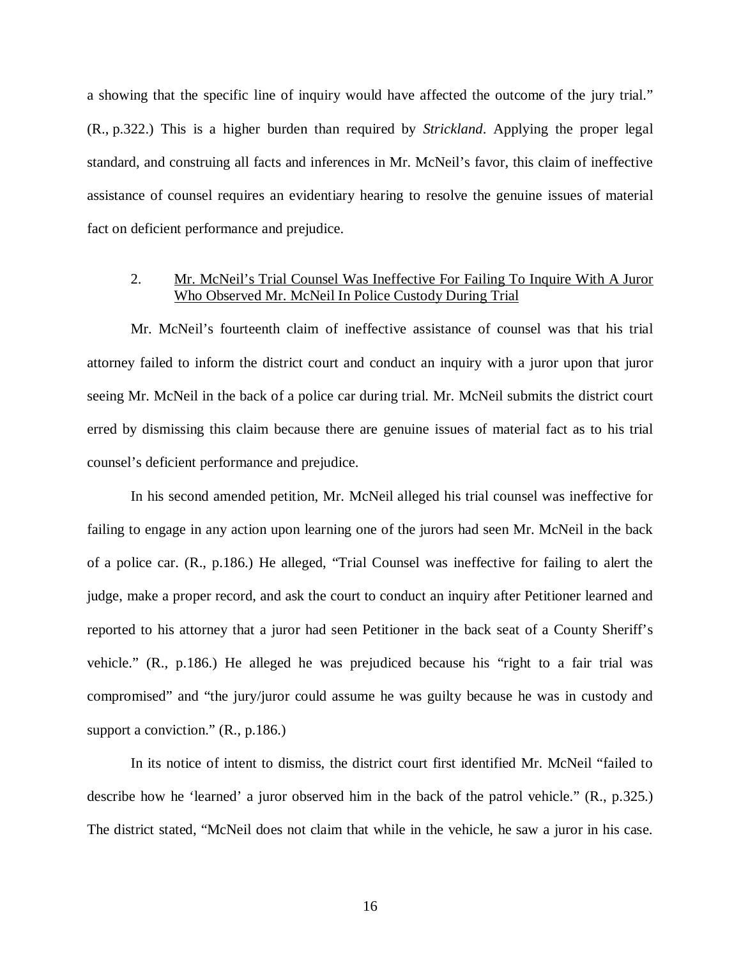a showing that the specific line of inquiry would have affected the outcome of the jury trial." (R., p.322.) This is a higher burden than required by *Strickland*. Applying the proper legal standard, and construing all facts and inferences in Mr. McNeil's favor, this claim of ineffective assistance of counsel requires an evidentiary hearing to resolve the genuine issues of material fact on deficient performance and prejudice.

### 2. Mr. McNeil's Trial Counsel Was Ineffective For Failing To Inquire With A Juror Who Observed Mr. McNeil In Police Custody During Trial

Mr. McNeil's fourteenth claim of ineffective assistance of counsel was that his trial attorney failed to inform the district court and conduct an inquiry with a juror upon that juror seeing Mr. McNeil in the back of a police car during trial. Mr. McNeil submits the district court erred by dismissing this claim because there are genuine issues of material fact as to his trial counsel's deficient performance and prejudice.

In his second amended petition, Mr. McNeil alleged his trial counsel was ineffective for failing to engage in any action upon learning one of the jurors had seen Mr. McNeil in the back of a police car. (R., p.186.) He alleged, "Trial Counsel was ineffective for failing to alert the judge, make a proper record, and ask the court to conduct an inquiry after Petitioner learned and reported to his attorney that a juror had seen Petitioner in the back seat of a County Sheriff's vehicle." (R., p.186.) He alleged he was prejudiced because his "right to a fair trial was compromised" and "the jury/juror could assume he was guilty because he was in custody and support a conviction." (R., p.186.)

In its notice of intent to dismiss, the district court first identified Mr. McNeil "failed to describe how he 'learned' a juror observed him in the back of the patrol vehicle." (R., p.325.) The district stated, "McNeil does not claim that while in the vehicle, he saw a juror in his case.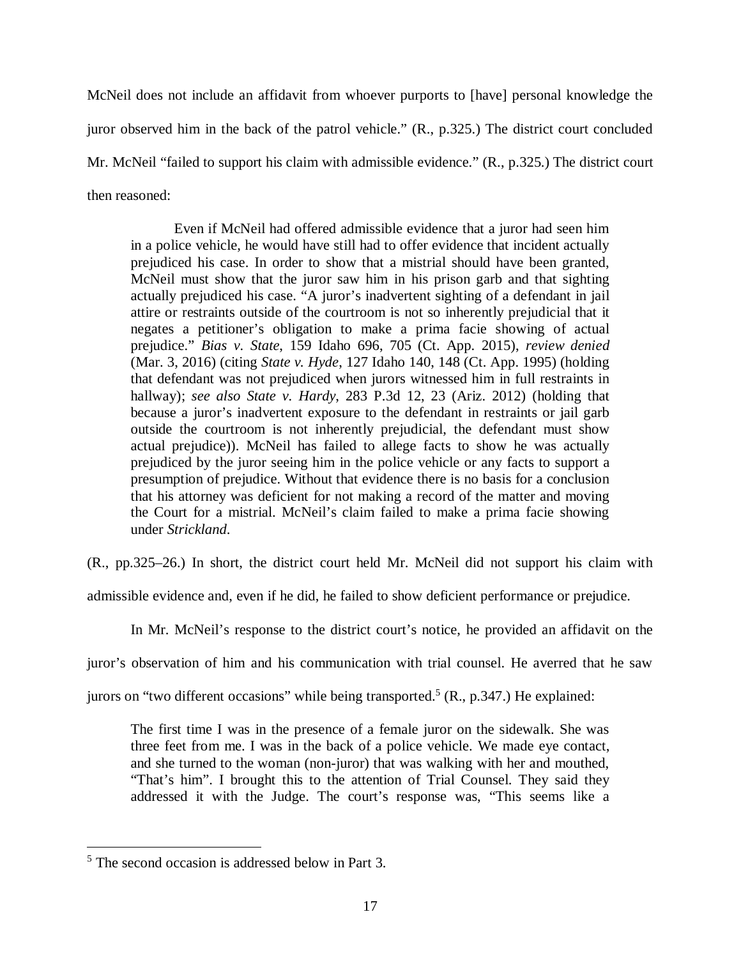McNeil does not include an affidavit from whoever purports to [have] personal knowledge the juror observed him in the back of the patrol vehicle." (R., p.325.) The district court concluded Mr. McNeil "failed to support his claim with admissible evidence." (R., p.325.) The district court then reasoned:

Even if McNeil had offered admissible evidence that a juror had seen him in a police vehicle, he would have still had to offer evidence that incident actually prejudiced his case. In order to show that a mistrial should have been granted, McNeil must show that the juror saw him in his prison garb and that sighting actually prejudiced his case. "A juror's inadvertent sighting of a defendant in jail attire or restraints outside of the courtroom is not so inherently prejudicial that it negates a petitioner's obligation to make a prima facie showing of actual prejudice." *Bias v. State*, 159 Idaho 696, 705 (Ct. App. 2015), *review denied* (Mar. 3, 2016) (citing *State v. Hyde*, 127 Idaho 140, 148 (Ct. App. 1995) (holding that defendant was not prejudiced when jurors witnessed him in full restraints in hallway); *see also State v. Hardy*, 283 P.3d 12, 23 (Ariz. 2012) (holding that because a juror's inadvertent exposure to the defendant in restraints or jail garb outside the courtroom is not inherently prejudicial, the defendant must show actual prejudice)). McNeil has failed to allege facts to show he was actually prejudiced by the juror seeing him in the police vehicle or any facts to support a presumption of prejudice. Without that evidence there is no basis for a conclusion that his attorney was deficient for not making a record of the matter and moving the Court for a mistrial. McNeil's claim failed to make a prima facie showing under *Strickland*.

(R., pp.325–26.) In short, the district court held Mr. McNeil did not support his claim with

admissible evidence and, even if he did, he failed to show deficient performance or prejudice.

In Mr. McNeil's response to the district court's notice, he provided an affidavit on the

juror's observation of him and his communication with trial counsel. He averred that he saw

jurors on "two different occasions" while being transported.<sup>[5](#page-22-0)</sup> (R., p.347.) He explained:

The first time I was in the presence of a female juror on the sidewalk. She was three feet from me. I was in the back of a police vehicle. We made eye contact, and she turned to the woman (non-juror) that was walking with her and mouthed, "That's him". I brought this to the attention of Trial Counsel. They said they addressed it with the Judge. The court's response was, "This seems like a

<span id="page-22-0"></span><sup>5</sup> The second occasion is addressed below in Part 3.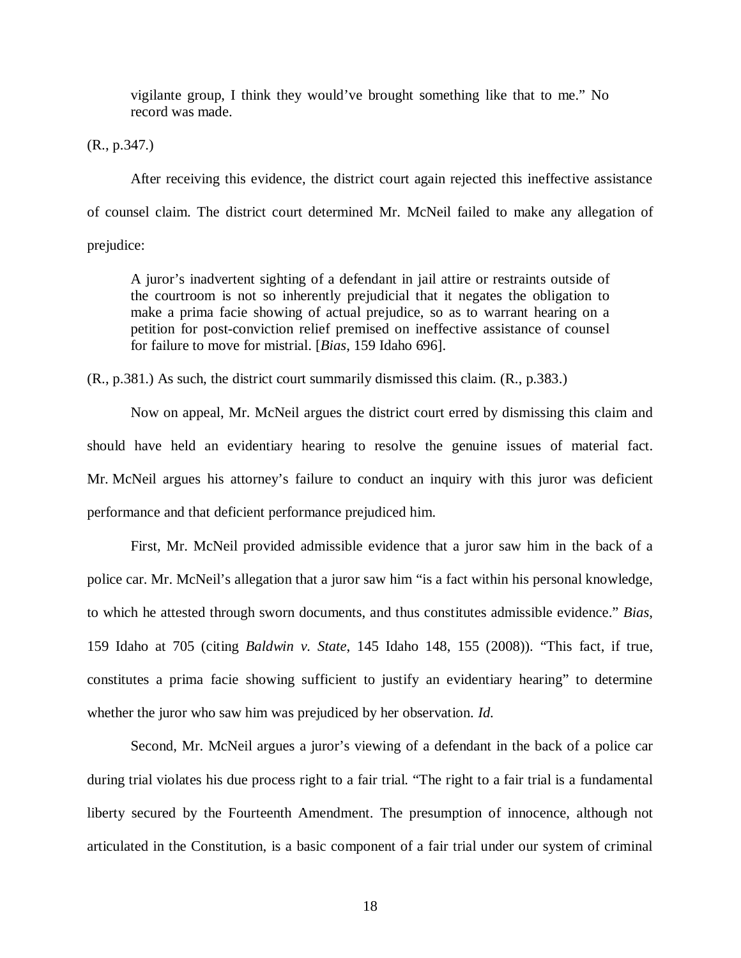vigilante group, I think they would've brought something like that to me." No record was made.

(R., p.347.)

After receiving this evidence, the district court again rejected this ineffective assistance of counsel claim. The district court determined Mr. McNeil failed to make any allegation of prejudice:

A juror's inadvertent sighting of a defendant in jail attire or restraints outside of the courtroom is not so inherently prejudicial that it negates the obligation to make a prima facie showing of actual prejudice, so as to warrant hearing on a petition for post-conviction relief premised on ineffective assistance of counsel for failure to move for mistrial. [*Bias*, 159 Idaho 696].

(R., p.381.) As such, the district court summarily dismissed this claim. (R., p.383.)

Now on appeal, Mr. McNeil argues the district court erred by dismissing this claim and should have held an evidentiary hearing to resolve the genuine issues of material fact. Mr. McNeil argues his attorney's failure to conduct an inquiry with this juror was deficient performance and that deficient performance prejudiced him.

First, Mr. McNeil provided admissible evidence that a juror saw him in the back of a police car. Mr. McNeil's allegation that a juror saw him "is a fact within his personal knowledge, to which he attested through sworn documents, and thus constitutes admissible evidence." *Bias*, 159 Idaho at 705 (citing *Baldwin v. State*, 145 Idaho 148, 155 (2008)). "This fact, if true, constitutes a prima facie showing sufficient to justify an evidentiary hearing" to determine whether the juror who saw him was prejudiced by her observation. *Id.*

Second, Mr. McNeil argues a juror's viewing of a defendant in the back of a police car during trial violates his due process right to a fair trial. "The right to a fair trial is a fundamental liberty secured by the Fourteenth Amendment. The presumption of innocence, although not articulated in the Constitution, is a basic component of a fair trial under our system of criminal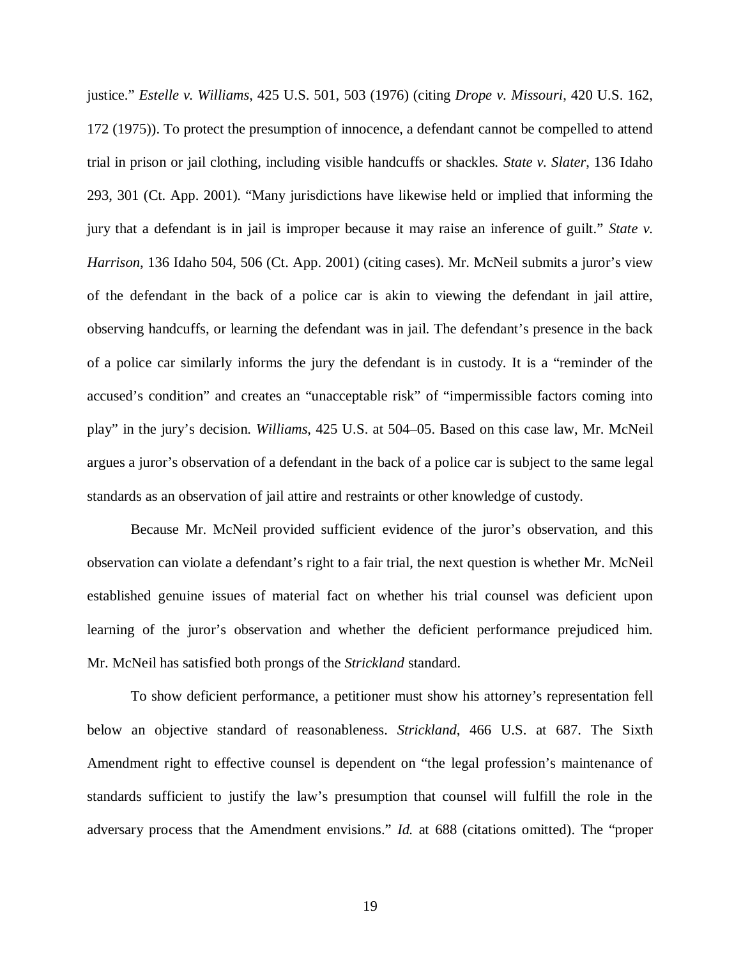justice." *Estelle v. Williams*, 425 U.S. 501, 503 (1976) (citing *Drope v. Missouri*, 420 U.S. 162, 172 (1975)). To protect the presumption of innocence, a defendant cannot be compelled to attend trial in prison or jail clothing, including visible handcuffs or shackles. *State v. Slater*, 136 Idaho 293, 301 (Ct. App. 2001). "Many jurisdictions have likewise held or implied that informing the jury that a defendant is in jail is improper because it may raise an inference of guilt." *State v. Harrison*, 136 Idaho 504, 506 (Ct. App. 2001) (citing cases). Mr. McNeil submits a juror's view of the defendant in the back of a police car is akin to viewing the defendant in jail attire, observing handcuffs, or learning the defendant was in jail. The defendant's presence in the back of a police car similarly informs the jury the defendant is in custody. It is a "reminder of the accused's condition" and creates an "unacceptable risk" of "impermissible factors coming into play" in the jury's decision. *Williams*, 425 U.S. at 504–05. Based on this case law, Mr. McNeil argues a juror's observation of a defendant in the back of a police car is subject to the same legal standards as an observation of jail attire and restraints or other knowledge of custody.

Because Mr. McNeil provided sufficient evidence of the juror's observation, and this observation can violate a defendant's right to a fair trial, the next question is whether Mr. McNeil established genuine issues of material fact on whether his trial counsel was deficient upon learning of the juror's observation and whether the deficient performance prejudiced him. Mr. McNeil has satisfied both prongs of the *Strickland* standard.

To show deficient performance, a petitioner must show his attorney's representation fell below an objective standard of reasonableness. *Strickland*, 466 U.S. at 687. The Sixth Amendment right to effective counsel is dependent on "the legal profession's maintenance of standards sufficient to justify the law's presumption that counsel will fulfill the role in the adversary process that the Amendment envisions." *Id.* at 688 (citations omitted). The "proper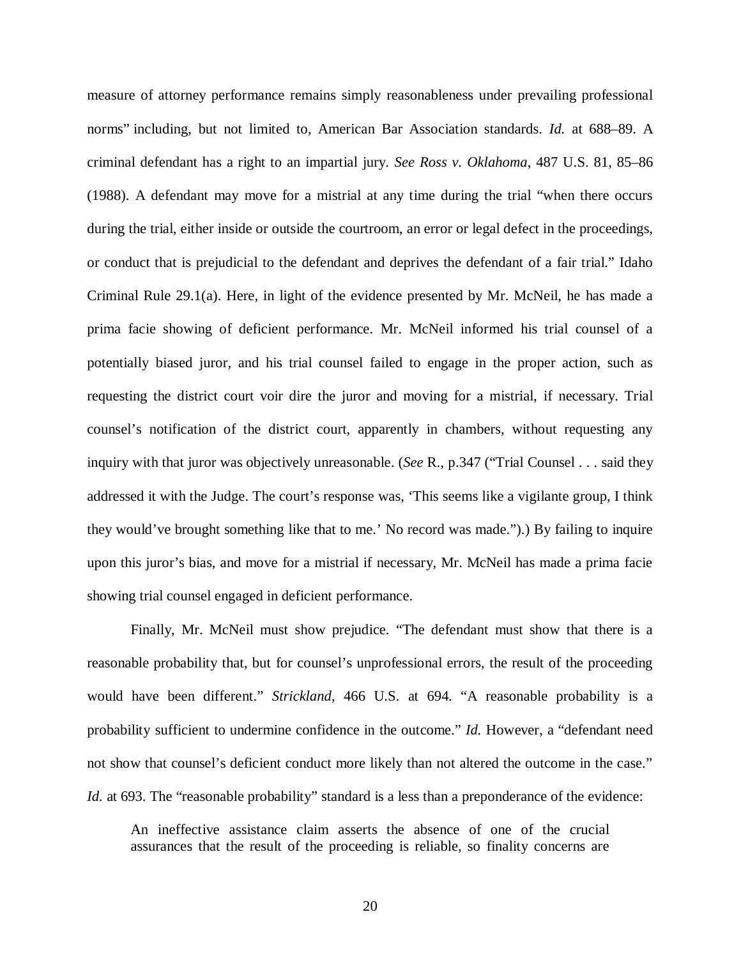measure of attorney performance remains simply reasonableness under prevailing professional norms" including, but not limited to, American Bar Association standards. *Id.* at 688–89. A criminal defendant has a right to an impartial jury. *See Ross v. Oklahoma*, 487 U.S. 81, 85–86 (1988). A defendant may move for a mistrial at any time during the trial "when there occurs during the trial, either inside or outside the courtroom, an error or legal defect in the proceedings, or conduct that is prejudicial to the defendant and deprives the defendant of a fair trial." Idaho Criminal Rule 29.1(a). Here, in light of the evidence presented by Mr. McNeil, he has made a prima facie showing of deficient performance. Mr. McNeil informed his trial counsel of a potentially biased juror, and his trial counsel failed to engage in the proper action, such as requesting the district court voir dire the juror and moving for a mistrial, if necessary. Trial counsel's notification of the district court, apparently in chambers, without requesting any inquiry with that juror was objectively unreasonable. (*See* R., p.347 ("Trial Counsel . . . said they addressed it with the Judge. The court's response was, 'This seems like a vigilante group, I think they would've brought something like that to me.' No record was made.").) By failing to inquire upon this juror's bias, and move for a mistrial if necessary, Mr. McNeil has made a prima facie showing trial counsel engaged in deficient performance.

Finally, Mr. McNeil must show prejudice. "The defendant must show that there is a reasonable probability that, but for counsel's unprofessional errors, the result of the proceeding would have been different." *Strickland*, 466 U.S. at 694. "A reasonable probability is a probability sufficient to undermine confidence in the outcome." *Id.* However, a "defendant need not show that counsel's deficient conduct more likely than not altered the outcome in the case." *Id.* at 693. The "reasonable probability" standard is a less than a preponderance of the evidence:

An ineffective assistance claim asserts the absence of one of the crucial assurances that the result of the proceeding is reliable, so finality concerns are

20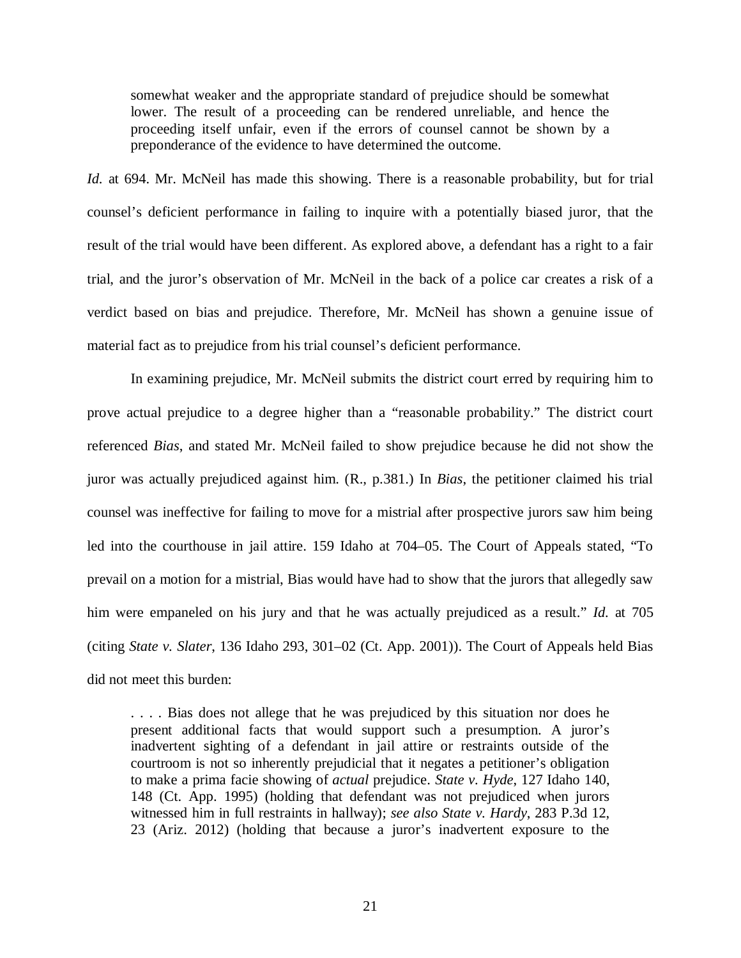somewhat weaker and the appropriate standard of prejudice should be somewhat lower. The result of a proceeding can be rendered unreliable, and hence the proceeding itself unfair, even if the errors of counsel cannot be shown by a preponderance of the evidence to have determined the outcome.

*Id.* at 694. Mr. McNeil has made this showing. There is a reasonable probability, but for trial counsel's deficient performance in failing to inquire with a potentially biased juror, that the result of the trial would have been different. As explored above, a defendant has a right to a fair trial, and the juror's observation of Mr. McNeil in the back of a police car creates a risk of a verdict based on bias and prejudice. Therefore, Mr. McNeil has shown a genuine issue of material fact as to prejudice from his trial counsel's deficient performance.

In examining prejudice, Mr. McNeil submits the district court erred by requiring him to prove actual prejudice to a degree higher than a "reasonable probability." The district court referenced *Bias*, and stated Mr. McNeil failed to show prejudice because he did not show the juror was actually prejudiced against him. (R., p.381.) In *Bias*, the petitioner claimed his trial counsel was ineffective for failing to move for a mistrial after prospective jurors saw him being led into the courthouse in jail attire. 159 Idaho at 704–05. The Court of Appeals stated, "To prevail on a motion for a mistrial, Bias would have had to show that the jurors that allegedly saw him were empaneled on his jury and that he was actually prejudiced as a result." *Id.* at 705 (citing *State v. Slater*, 136 Idaho 293, 301–02 (Ct. App. 2001)). The Court of Appeals held Bias did not meet this burden:

. . . . Bias does not allege that he was prejudiced by this situation nor does he present additional facts that would support such a presumption. A juror's inadvertent sighting of a defendant in jail attire or restraints outside of the courtroom is not so inherently prejudicial that it negates a petitioner's obligation to make a prima facie showing of *actual* prejudice. *State v. Hyde*, 127 Idaho 140, 148 (Ct. App. 1995) (holding that defendant was not prejudiced when jurors witnessed him in full restraints in hallway); *see also State v. Hardy*, 283 P.3d 12, 23 (Ariz. 2012) (holding that because a juror's inadvertent exposure to the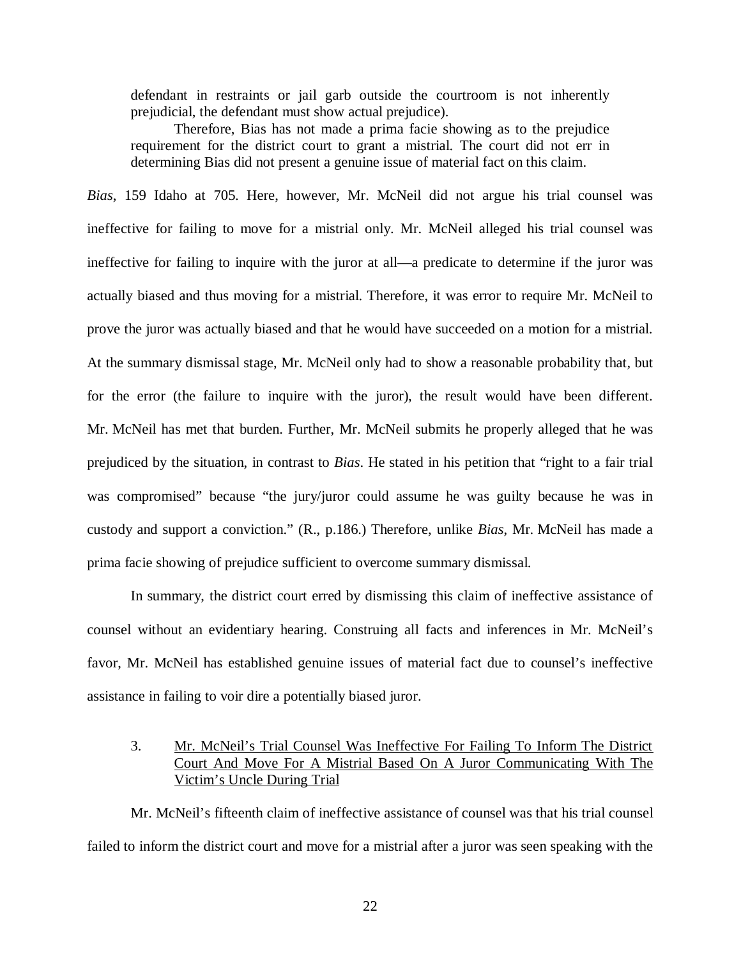defendant in restraints or jail garb outside the courtroom is not inherently prejudicial, the defendant must show actual prejudice).

Therefore, Bias has not made a prima facie showing as to the prejudice requirement for the district court to grant a mistrial. The court did not err in determining Bias did not present a genuine issue of material fact on this claim.

*Bias*, 159 Idaho at 705. Here, however, Mr. McNeil did not argue his trial counsel was ineffective for failing to move for a mistrial only. Mr. McNeil alleged his trial counsel was ineffective for failing to inquire with the juror at all—a predicate to determine if the juror was actually biased and thus moving for a mistrial. Therefore, it was error to require Mr. McNeil to prove the juror was actually biased and that he would have succeeded on a motion for a mistrial. At the summary dismissal stage, Mr. McNeil only had to show a reasonable probability that, but for the error (the failure to inquire with the juror), the result would have been different. Mr. McNeil has met that burden. Further, Mr. McNeil submits he properly alleged that he was prejudiced by the situation, in contrast to *Bias*. He stated in his petition that "right to a fair trial was compromised" because "the jury/juror could assume he was guilty because he was in custody and support a conviction." (R., p.186.) Therefore, unlike *Bias*, Mr. McNeil has made a prima facie showing of prejudice sufficient to overcome summary dismissal.

In summary, the district court erred by dismissing this claim of ineffective assistance of counsel without an evidentiary hearing. Construing all facts and inferences in Mr. McNeil's favor, Mr. McNeil has established genuine issues of material fact due to counsel's ineffective assistance in failing to voir dire a potentially biased juror.

## 3. Mr. McNeil's Trial Counsel Was Ineffective For Failing To Inform The District Court And Move For A Mistrial Based On A Juror Communicating With The Victim's Uncle During Trial

Mr. McNeil's fifteenth claim of ineffective assistance of counsel was that his trial counsel failed to inform the district court and move for a mistrial after a juror was seen speaking with the

22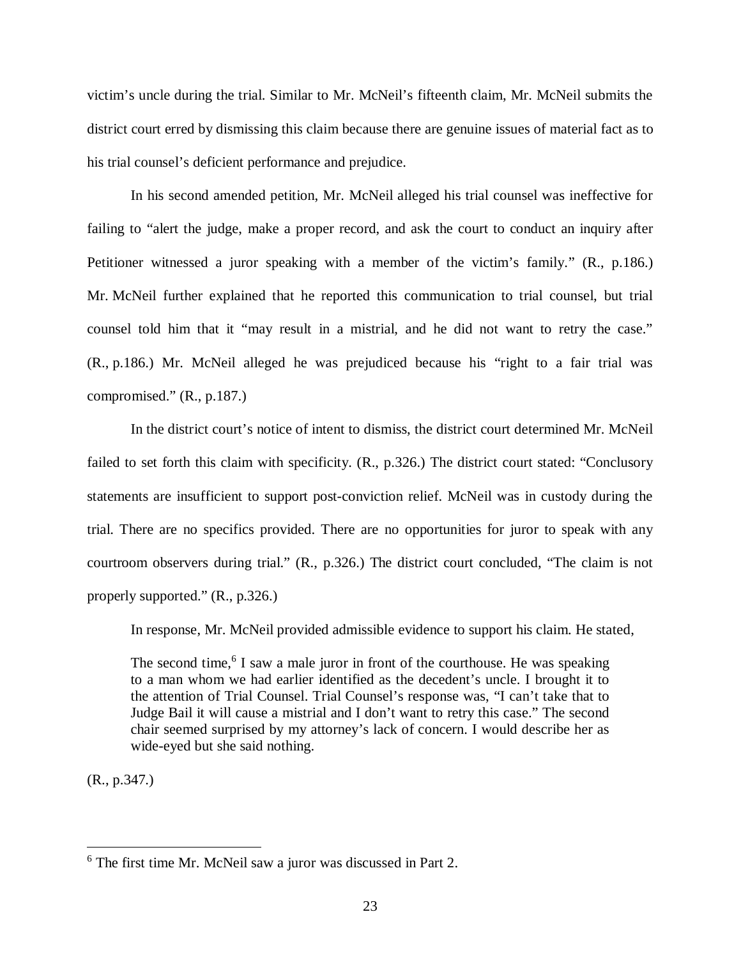victim's uncle during the trial. Similar to Mr. McNeil's fifteenth claim, Mr. McNeil submits the district court erred by dismissing this claim because there are genuine issues of material fact as to his trial counsel's deficient performance and prejudice.

In his second amended petition, Mr. McNeil alleged his trial counsel was ineffective for failing to "alert the judge, make a proper record, and ask the court to conduct an inquiry after Petitioner witnessed a juror speaking with a member of the victim's family." (R., p.186.) Mr. McNeil further explained that he reported this communication to trial counsel, but trial counsel told him that it "may result in a mistrial, and he did not want to retry the case." (R., p.186.) Mr. McNeil alleged he was prejudiced because his "right to a fair trial was compromised." (R., p.187.)

In the district court's notice of intent to dismiss, the district court determined Mr. McNeil failed to set forth this claim with specificity. (R., p.326.) The district court stated: "Conclusory statements are insufficient to support post-conviction relief. McNeil was in custody during the trial. There are no specifics provided. There are no opportunities for juror to speak with any courtroom observers during trial." (R., p.326.) The district court concluded, "The claim is not properly supported." (R., p.326.)

In response, Mr. McNeil provided admissible evidence to support his claim. He stated,

The second time,<sup>[6](#page-28-0)</sup> I saw a male juror in front of the courthouse. He was speaking to a man whom we had earlier identified as the decedent's uncle. I brought it to the attention of Trial Counsel. Trial Counsel's response was, "I can't take that to Judge Bail it will cause a mistrial and I don't want to retry this case." The second chair seemed surprised by my attorney's lack of concern. I would describe her as wide-eyed but she said nothing.

(R., p.347.)

<span id="page-28-0"></span><sup>6</sup> The first time Mr. McNeil saw a juror was discussed in Part 2.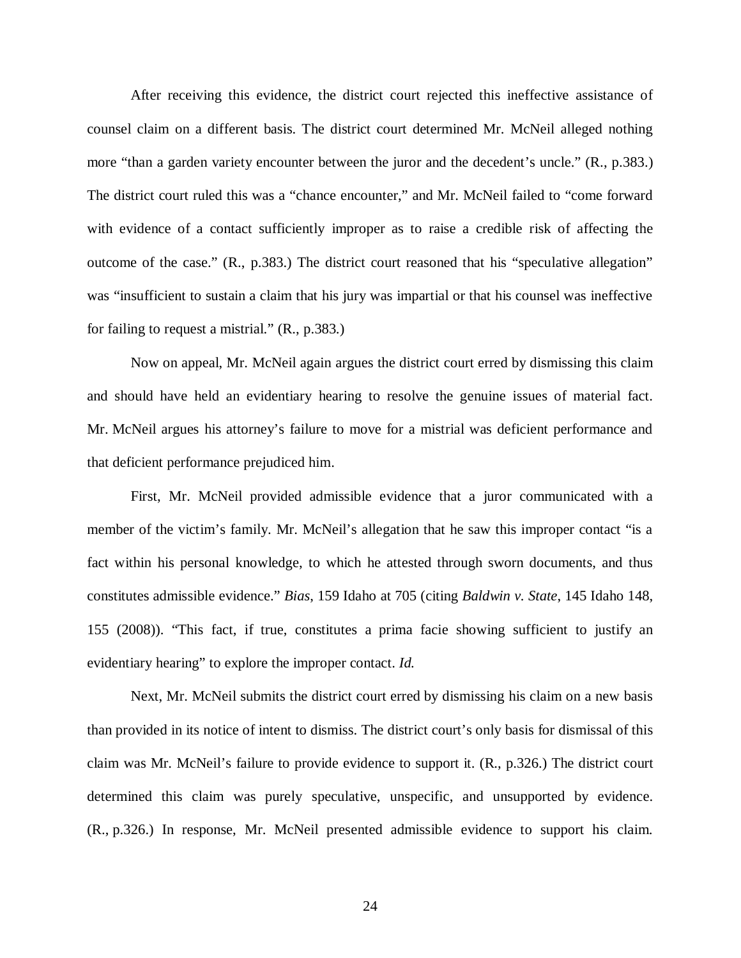After receiving this evidence, the district court rejected this ineffective assistance of counsel claim on a different basis. The district court determined Mr. McNeil alleged nothing more "than a garden variety encounter between the juror and the decedent's uncle." (R., p.383.) The district court ruled this was a "chance encounter," and Mr. McNeil failed to "come forward with evidence of a contact sufficiently improper as to raise a credible risk of affecting the outcome of the case." (R., p.383.) The district court reasoned that his "speculative allegation" was "insufficient to sustain a claim that his jury was impartial or that his counsel was ineffective for failing to request a mistrial." (R., p.383.)

Now on appeal, Mr. McNeil again argues the district court erred by dismissing this claim and should have held an evidentiary hearing to resolve the genuine issues of material fact. Mr. McNeil argues his attorney's failure to move for a mistrial was deficient performance and that deficient performance prejudiced him.

First, Mr. McNeil provided admissible evidence that a juror communicated with a member of the victim's family. Mr. McNeil's allegation that he saw this improper contact "is a fact within his personal knowledge, to which he attested through sworn documents, and thus constitutes admissible evidence." *Bias*, 159 Idaho at 705 (citing *Baldwin v. State*, 145 Idaho 148, 155 (2008)). "This fact, if true, constitutes a prima facie showing sufficient to justify an evidentiary hearing" to explore the improper contact. *Id.*

Next, Mr. McNeil submits the district court erred by dismissing his claim on a new basis than provided in its notice of intent to dismiss. The district court's only basis for dismissal of this claim was Mr. McNeil's failure to provide evidence to support it. (R., p.326.) The district court determined this claim was purely speculative, unspecific, and unsupported by evidence. (R., p.326.) In response, Mr. McNeil presented admissible evidence to support his claim.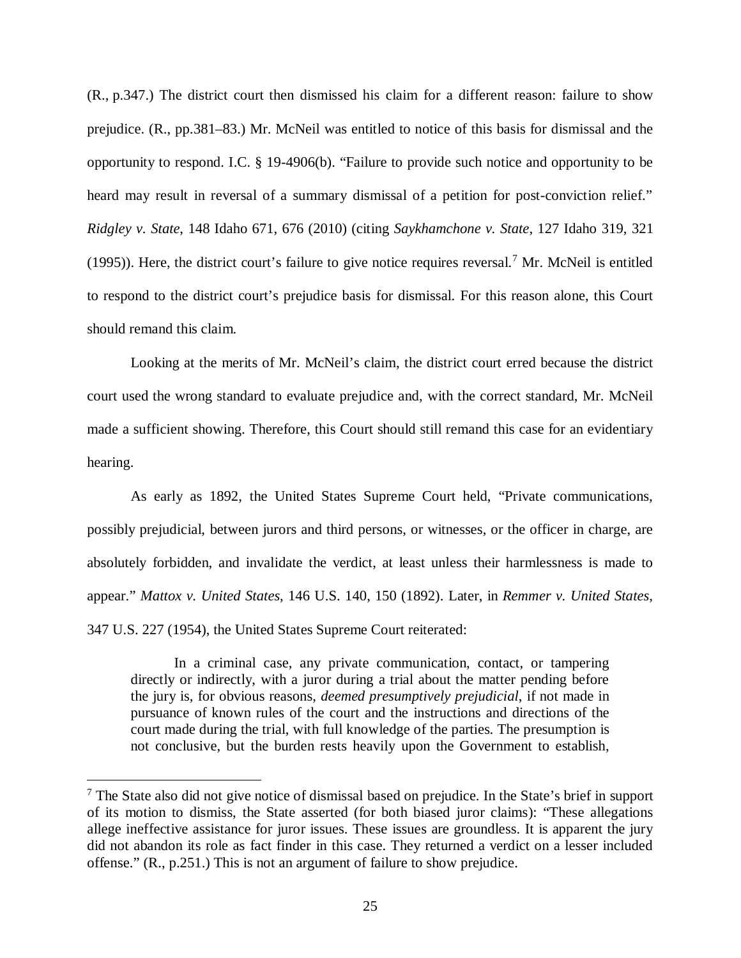(R., p.347.) The district court then dismissed his claim for a different reason: failure to show prejudice. (R., pp.381–83.) Mr. McNeil was entitled to notice of this basis for dismissal and the opportunity to respond. I.C. § 19-4906(b). "Failure to provide such notice and opportunity to be heard may result in reversal of a summary dismissal of a petition for post-conviction relief." *Ridgley v. State*, 148 Idaho 671, 676 (2010) (citing *Saykhamchone v. State*, 127 Idaho 319, 321 (1995)). Here, the district court's failure to give notice requires reversal.<sup>[7](#page-30-0)</sup> Mr. McNeil is entitled to respond to the district court's prejudice basis for dismissal. For this reason alone, this Court should remand this claim.

Looking at the merits of Mr. McNeil's claim, the district court erred because the district court used the wrong standard to evaluate prejudice and, with the correct standard, Mr. McNeil made a sufficient showing. Therefore, this Court should still remand this case for an evidentiary hearing.

As early as 1892, the United States Supreme Court held, "Private communications, possibly prejudicial, between jurors and third persons, or witnesses, or the officer in charge, are absolutely forbidden, and invalidate the verdict, at least unless their harmlessness is made to appear." *Mattox v. United States*, 146 U.S. 140, 150 (1892). Later, in *Remmer v. United States*, 347 U.S. 227 (1954), the United States Supreme Court reiterated:

In a criminal case, any private communication, contact, or tampering directly or indirectly, with a juror during a trial about the matter pending before the jury is, for obvious reasons, *deemed presumptively prejudicial*, if not made in pursuance of known rules of the court and the instructions and directions of the court made during the trial, with full knowledge of the parties. The presumption is not conclusive, but the burden rests heavily upon the Government to establish,

<span id="page-30-0"></span><sup>&</sup>lt;sup>7</sup> The State also did not give notice of dismissal based on prejudice. In the State's brief in support of its motion to dismiss, the State asserted (for both biased juror claims): "These allegations allege ineffective assistance for juror issues. These issues are groundless. It is apparent the jury did not abandon its role as fact finder in this case. They returned a verdict on a lesser included offense." (R., p.251.) This is not an argument of failure to show prejudice.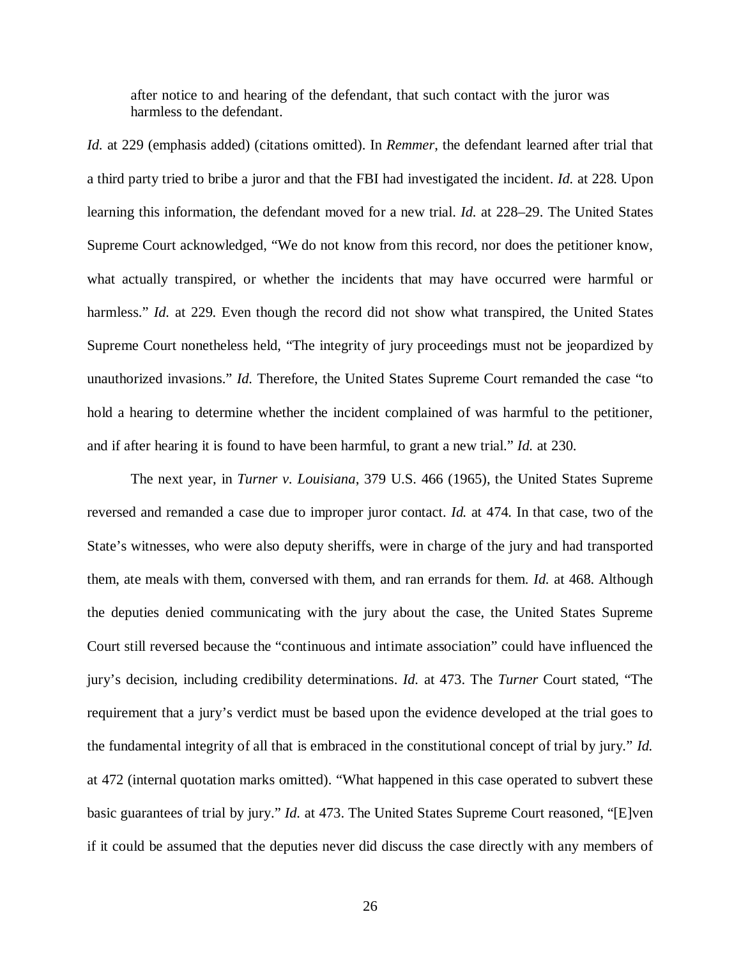after notice to and hearing of the defendant, that such contact with the juror was harmless to the defendant.

*Id.* at 229 (emphasis added) (citations omitted). In *Remmer*, the defendant learned after trial that a third party tried to bribe a juror and that the FBI had investigated the incident. *Id.* at 228. Upon learning this information, the defendant moved for a new trial. *Id.* at 228–29. The United States Supreme Court acknowledged, "We do not know from this record, nor does the petitioner know, what actually transpired, or whether the incidents that may have occurred were harmful or harmless." *Id.* at 229. Even though the record did not show what transpired, the United States Supreme Court nonetheless held, "The integrity of jury proceedings must not be jeopardized by unauthorized invasions." *Id.* Therefore, the United States Supreme Court remanded the case "to hold a hearing to determine whether the incident complained of was harmful to the petitioner, and if after hearing it is found to have been harmful, to grant a new trial." *Id.* at 230.

The next year, in *Turner v. Louisiana*, 379 U.S. 466 (1965), the United States Supreme reversed and remanded a case due to improper juror contact. *Id.* at 474. In that case, two of the State's witnesses, who were also deputy sheriffs, were in charge of the jury and had transported them, ate meals with them, conversed with them, and ran errands for them. *Id.* at 468. Although the deputies denied communicating with the jury about the case, the United States Supreme Court still reversed because the "continuous and intimate association" could have influenced the jury's decision, including credibility determinations. *Id.* at 473. The *Turner* Court stated, "The requirement that a jury's verdict must be based upon the evidence developed at the trial goes to the fundamental integrity of all that is embraced in the constitutional concept of trial by jury." *Id.* at 472 (internal quotation marks omitted). "What happened in this case operated to subvert these basic guarantees of trial by jury." *Id.* at 473. The United States Supreme Court reasoned, "[E]ven if it could be assumed that the deputies never did discuss the case directly with any members of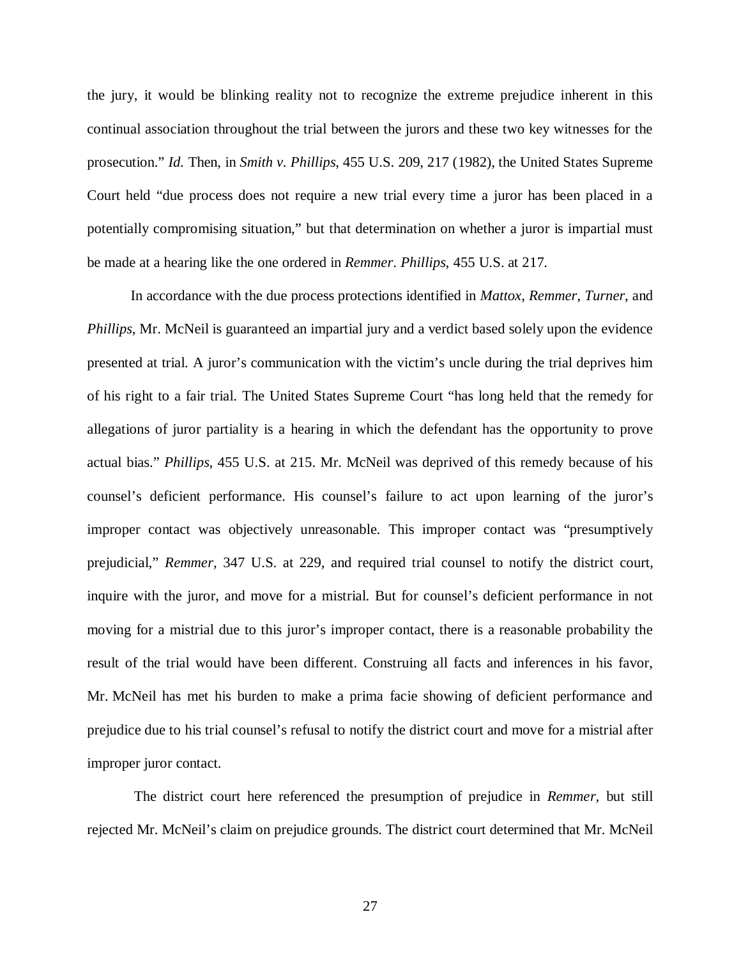the jury, it would be blinking reality not to recognize the extreme prejudice inherent in this continual association throughout the trial between the jurors and these two key witnesses for the prosecution." *Id.* Then, in *Smith v. Phillips*, 455 U.S. 209, 217 (1982), the United States Supreme Court held "due process does not require a new trial every time a juror has been placed in a potentially compromising situation," but that determination on whether a juror is impartial must be made at a hearing like the one ordered in *Remmer*. *Phillips*, 455 U.S. at 217.

In accordance with the due process protections identified in *Mattox*, *Remmer*, *Turner*, and *Phillips*, Mr. McNeil is guaranteed an impartial jury and a verdict based solely upon the evidence presented at trial. A juror's communication with the victim's uncle during the trial deprives him of his right to a fair trial. The United States Supreme Court "has long held that the remedy for allegations of juror partiality is a hearing in which the defendant has the opportunity to prove actual bias." *Phillips*, 455 U.S. at 215. Mr. McNeil was deprived of this remedy because of his counsel's deficient performance. His counsel's failure to act upon learning of the juror's improper contact was objectively unreasonable. This improper contact was "presumptively prejudicial," *Remmer*, 347 U.S. at 229, and required trial counsel to notify the district court, inquire with the juror, and move for a mistrial. But for counsel's deficient performance in not moving for a mistrial due to this juror's improper contact, there is a reasonable probability the result of the trial would have been different. Construing all facts and inferences in his favor, Mr. McNeil has met his burden to make a prima facie showing of deficient performance and prejudice due to his trial counsel's refusal to notify the district court and move for a mistrial after improper juror contact.

 The district court here referenced the presumption of prejudice in *Remmer*, but still rejected Mr. McNeil's claim on prejudice grounds. The district court determined that Mr. McNeil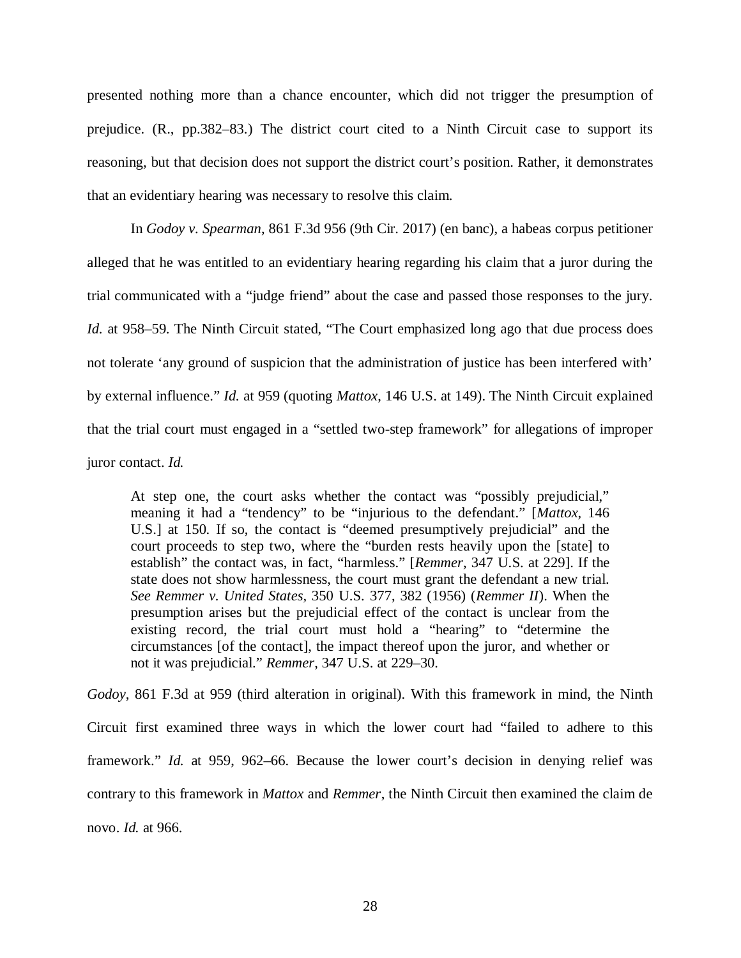presented nothing more than a chance encounter, which did not trigger the presumption of prejudice. (R., pp.382–83.) The district court cited to a Ninth Circuit case to support its reasoning, but that decision does not support the district court's position. Rather, it demonstrates that an evidentiary hearing was necessary to resolve this claim.

In *Godoy v. Spearman*, 861 F.3d 956 (9th Cir. 2017) (en banc), a habeas corpus petitioner alleged that he was entitled to an evidentiary hearing regarding his claim that a juror during the trial communicated with a "judge friend" about the case and passed those responses to the jury. *Id.* at 958–59. The Ninth Circuit stated, "The Court emphasized long ago that due process does not tolerate 'any ground of suspicion that the administration of justice has been interfered with' by external influence." *Id.* at 959 (quoting *Mattox*, 146 U.S. at 149). The Ninth Circuit explained that the trial court must engaged in a "settled two-step framework" for allegations of improper juror contact. *Id.*

At step one, the court asks whether the contact was "possibly prejudicial," meaning it had a "tendency" to be "injurious to the defendant." [*Mattox*, 146 U.S.] at 150. If so, the contact is "deemed presumptively prejudicial" and the court proceeds to step two, where the "burden rests heavily upon the [state] to establish" the contact was, in fact, "harmless." [*Remmer*, 347 U.S. at 229]. If the state does not show harmlessness, the court must grant the defendant a new trial. *See Remmer v. United States*, 350 U.S. 377, 382 (1956) (*Remmer II*). When the presumption arises but the prejudicial effect of the contact is unclear from the existing record, the trial court must hold a "hearing" to "determine the circumstances [of the contact], the impact thereof upon the juror, and whether or not it was prejudicial." *Remmer*, 347 U.S. at 229–30.

*Godoy*, 861 F.3d at 959 (third alteration in original). With this framework in mind, the Ninth Circuit first examined three ways in which the lower court had "failed to adhere to this framework." *Id.* at 959, 962–66. Because the lower court's decision in denying relief was contrary to this framework in *Mattox* and *Remmer*, the Ninth Circuit then examined the claim de novo. *Id.* at 966.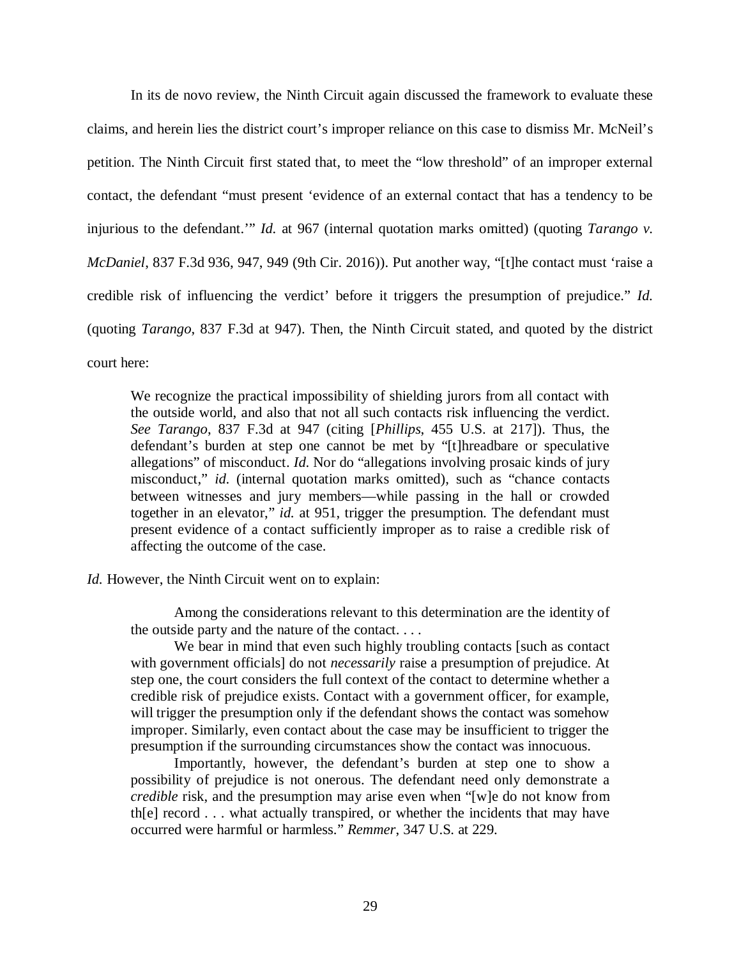In its de novo review, the Ninth Circuit again discussed the framework to evaluate these claims, and herein lies the district court's improper reliance on this case to dismiss Mr. McNeil's petition. The Ninth Circuit first stated that, to meet the "low threshold" of an improper external contact, the defendant "must present 'evidence of an external contact that has a tendency to be injurious to the defendant.'" *Id.* at 967 (internal quotation marks omitted) (quoting *Tarango v. McDaniel*, 837 F.3d 936, 947, 949 (9th Cir. 2016)). Put another way, "[t]he contact must 'raise a credible risk of influencing the verdict' before it triggers the presumption of prejudice." *Id.* (quoting *Tarango*, 837 F.3d at 947). Then, the Ninth Circuit stated, and quoted by the district court here:

We recognize the practical impossibility of shielding jurors from all contact with the outside world, and also that not all such contacts risk influencing the verdict. *See Tarango*, 837 F.3d at 947 (citing [*Phillips*, 455 U.S. at 217]). Thus, the defendant's burden at step one cannot be met by "[t]hreadbare or speculative allegations" of misconduct. *Id*. Nor do "allegations involving prosaic kinds of jury misconduct," *id*. (internal quotation marks omitted), such as "chance contacts between witnesses and jury members—while passing in the hall or crowded together in an elevator," *id.* at 951, trigger the presumption. The defendant must present evidence of a contact sufficiently improper as to raise a credible risk of affecting the outcome of the case.

*Id.* However, the Ninth Circuit went on to explain:

Among the considerations relevant to this determination are the identity of the outside party and the nature of the contact. . . .

We bear in mind that even such highly troubling contacts [such as contact with government officials] do not *necessarily* raise a presumption of prejudice. At step one, the court considers the full context of the contact to determine whether a credible risk of prejudice exists. Contact with a government officer, for example, will trigger the presumption only if the defendant shows the contact was somehow improper. Similarly, even contact about the case may be insufficient to trigger the presumption if the surrounding circumstances show the contact was innocuous.

Importantly, however, the defendant's burden at step one to show a possibility of prejudice is not onerous. The defendant need only demonstrate a *credible* risk, and the presumption may arise even when "[w]e do not know from th[e] record . . . what actually transpired, or whether the incidents that may have occurred were harmful or harmless." *Remmer*, 347 U.S. at 229.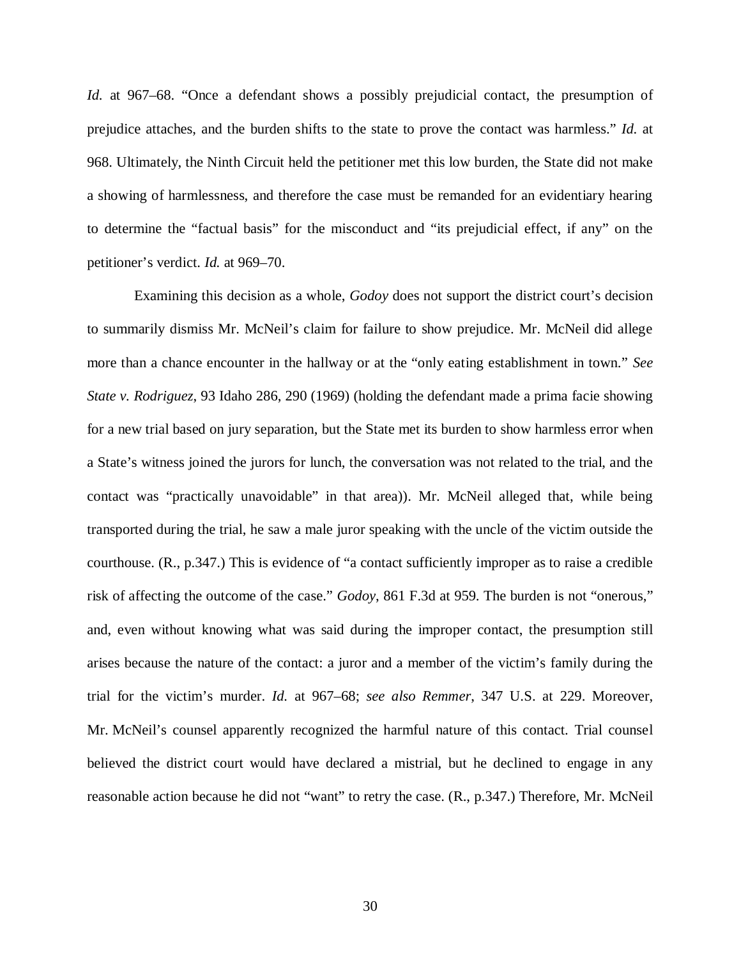*Id.* at 967–68. "Once a defendant shows a possibly prejudicial contact, the presumption of prejudice attaches, and the burden shifts to the state to prove the contact was harmless." *Id.* at 968. Ultimately, the Ninth Circuit held the petitioner met this low burden, the State did not make a showing of harmlessness, and therefore the case must be remanded for an evidentiary hearing to determine the "factual basis" for the misconduct and "its prejudicial effect, if any" on the petitioner's verdict. *Id.* at 969–70.

 Examining this decision as a whole, *Godoy* does not support the district court's decision to summarily dismiss Mr. McNeil's claim for failure to show prejudice. Mr. McNeil did allege more than a chance encounter in the hallway or at the "only eating establishment in town." *See State v. Rodriguez*, 93 Idaho 286, 290 (1969) (holding the defendant made a prima facie showing for a new trial based on jury separation, but the State met its burden to show harmless error when a State's witness joined the jurors for lunch, the conversation was not related to the trial, and the contact was "practically unavoidable" in that area)). Mr. McNeil alleged that, while being transported during the trial, he saw a male juror speaking with the uncle of the victim outside the courthouse. (R., p.347.) This is evidence of "a contact sufficiently improper as to raise a credible risk of affecting the outcome of the case." *Godoy*, 861 F.3d at 959. The burden is not "onerous," and, even without knowing what was said during the improper contact, the presumption still arises because the nature of the contact: a juror and a member of the victim's family during the trial for the victim's murder. *Id.* at 967–68; *see also Remmer*, 347 U.S. at 229. Moreover, Mr. McNeil's counsel apparently recognized the harmful nature of this contact. Trial counsel believed the district court would have declared a mistrial, but he declined to engage in any reasonable action because he did not "want" to retry the case. (R., p.347.) Therefore, Mr. McNeil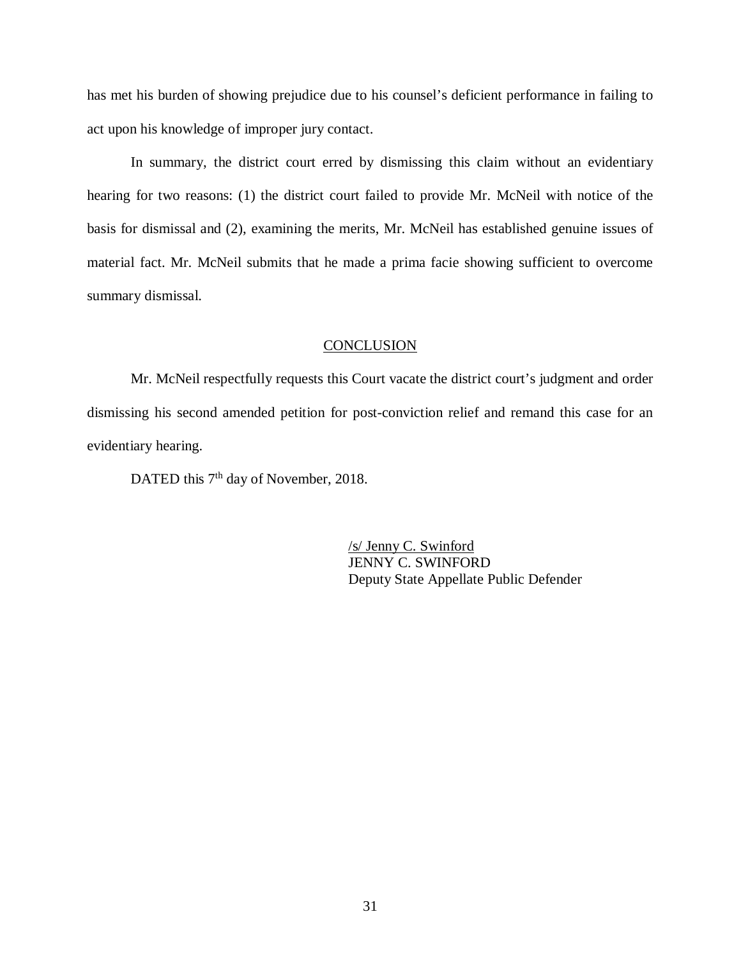has met his burden of showing prejudice due to his counsel's deficient performance in failing to act upon his knowledge of improper jury contact.

In summary, the district court erred by dismissing this claim without an evidentiary hearing for two reasons: (1) the district court failed to provide Mr. McNeil with notice of the basis for dismissal and (2), examining the merits, Mr. McNeil has established genuine issues of material fact. Mr. McNeil submits that he made a prima facie showing sufficient to overcome summary dismissal.

#### **CONCLUSION**

Mr. McNeil respectfully requests this Court vacate the district court's judgment and order dismissing his second amended petition for post-conviction relief and remand this case for an evidentiary hearing.

DATED this 7<sup>th</sup> day of November, 2018.

/s/ Jenny C. Swinford JENNY C. SWINFORD Deputy State Appellate Public Defender